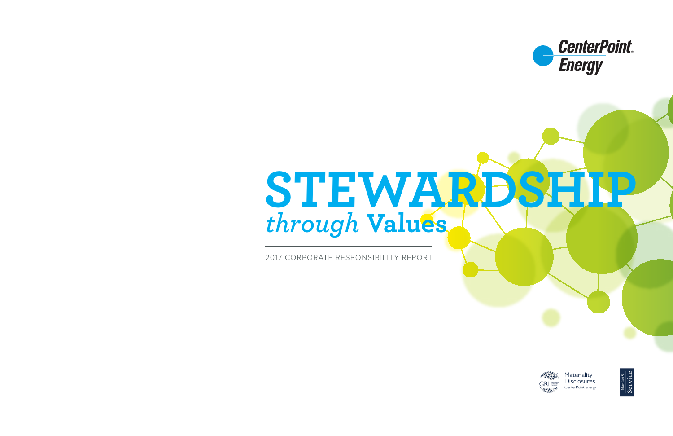# *through* **Values STEWARDSHIP**

2017 CORPORATE RESPONSIBILITY REPORT





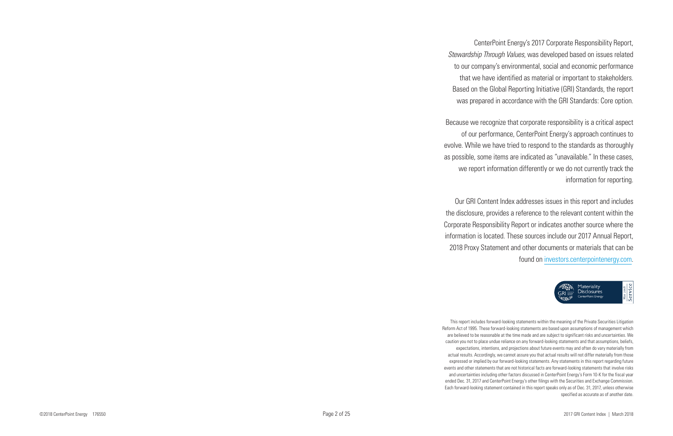CenterPoint Energy's 2017 Corporate Responsibility Report, *Stewardship Through Values*, was developed based on issues related to our company's environmental, social and economic performance that we have identified as material or important to stakeholders. Based on the Global Reporting Initiative (GRI) Standards, the report was prepared in accordance with the GRI Standards: Core option.

Because we recognize that corporate responsibility is a critical aspect of our performance, CenterPoint Energy's approach continues to evolve. While we have tried to respond to the standards as thoroughly as possible, some items are indicated as "unavailable." In these cases, we report information differently or we do not currently track the information for reporting.

Our GRI Content Index addresses issues in this report and includes the disclosure, provides a reference to the relevant content within the Corporate Responsibility Report or indicates another source where the information is located. These sources include our 2017 Annual Report, 2018 Proxy Statement and other documents or materials that can be found on investors.centerpointenergy.com .



This report includes forward-looking statements within the meaning of the Private Securities Litigation Reform Act of 1995. These forward -looking statements are based upon assumptions of management which are believed to be reasonable at the time made and are subject to significant risks and uncertainties. We caution you not to place undue reliance on any forward-looking statements and that assumptions, beliefs, expectations, intentions, and projections about future events may and often do vary materially from actual results. Accordingly, we cannot assure you that actual results will not differ materially from those expressed or implied by our forward-looking statements. Any statements in this report regarding future events and other statements that are not historical facts are forward-looking statements that involve risks and uncertainties including other factors discussed in CenterPoint Energy's Form 10-K for the fiscal year ended Dec. 31, 2017 and CenterPoint Energy's other filings with the Securities and Exchange Commission. Each forward -looking statement contained in this report speaks only as of Dec. 31, 2017, unless otherwise specified as accurate as of another date.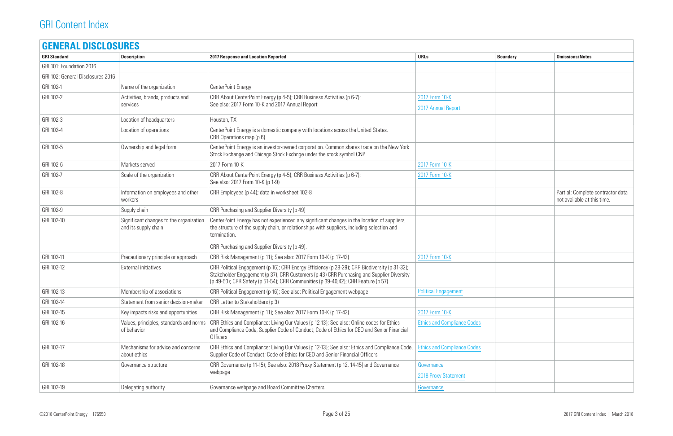| <b>Boundary</b> | <b>Omissions/Notes</b>                                           |
|-----------------|------------------------------------------------------------------|
|                 |                                                                  |
|                 |                                                                  |
|                 |                                                                  |
|                 |                                                                  |
|                 |                                                                  |
|                 |                                                                  |
|                 |                                                                  |
|                 |                                                                  |
|                 |                                                                  |
|                 |                                                                  |
|                 |                                                                  |
|                 |                                                                  |
|                 |                                                                  |
|                 | Partial; Complete contractor data<br>not available at this time. |
|                 |                                                                  |
|                 |                                                                  |
|                 |                                                                  |
|                 |                                                                  |
|                 |                                                                  |
|                 |                                                                  |
|                 |                                                                  |
|                 |                                                                  |
|                 |                                                                  |
|                 |                                                                  |
|                 |                                                                  |
|                 |                                                                  |
|                 |                                                                  |
|                 |                                                                  |
|                 |                                                                  |
|                 |                                                                  |
|                 |                                                                  |
|                 |                                                                  |
|                 |                                                                  |

| <b>GRI Standard</b>               | <b>Description</b>                                              | <b>2017 Response and Location Reported</b>                                                                                                                                                                                                                                      | <b>URLs</b>                          | <b>Boundary</b> | <b>Omissions/Notes</b>                                           |
|-----------------------------------|-----------------------------------------------------------------|---------------------------------------------------------------------------------------------------------------------------------------------------------------------------------------------------------------------------------------------------------------------------------|--------------------------------------|-----------------|------------------------------------------------------------------|
| GRI 101: Foundation 2016          |                                                                 |                                                                                                                                                                                                                                                                                 |                                      |                 |                                                                  |
| GRI 102: General Disclosures 2016 |                                                                 |                                                                                                                                                                                                                                                                                 |                                      |                 |                                                                  |
| GRI 102-1                         | Name of the organization                                        | CenterPoint Energy                                                                                                                                                                                                                                                              |                                      |                 |                                                                  |
| GRI 102-2                         | Activities, brands, products and<br>services                    | CRR About CenterPoint Energy (p 4-5); CRR Business Activities (p 6-7);<br>See also: 2017 Form 10-K and 2017 Annual Report                                                                                                                                                       | 2017 Form 10-K<br>2017 Annual Report |                 |                                                                  |
| GRI 102-3                         | Location of headquarters                                        | Houston, TX                                                                                                                                                                                                                                                                     |                                      |                 |                                                                  |
| GRI 102-4                         | Location of operations                                          | CenterPoint Energy is a domestic company with locations across the United States.<br>CRR Operations map (p 6)                                                                                                                                                                   |                                      |                 |                                                                  |
| GRI 102-5                         | Ownership and legal form                                        | CenterPoint Energy is an investor-owned corporation. Common shares trade on the New York<br>Stock Exchange and Chicago Stock Exchnge under the stock symbol CNP.                                                                                                                |                                      |                 |                                                                  |
| GRI 102-6                         | Markets served                                                  | 2017 Form 10-K                                                                                                                                                                                                                                                                  | 2017 Form 10-K                       |                 |                                                                  |
| GRI 102-7                         | Scale of the organization                                       | CRR About CenterPoint Energy (p 4-5); CRR Business Activities (p 6-7);<br>See also: 2017 Form 10-K (p 1-9)                                                                                                                                                                      | 2017 Form 10-K                       |                 |                                                                  |
| GRI 102-8                         | Information on employees and other<br>workers                   | CRR Employees (p 44); data in worksheet 102-8                                                                                                                                                                                                                                   |                                      |                 | Partial; Complete contractor data<br>not available at this time. |
| GRI 102-9                         | Supply chain                                                    | CRR Purchasing and Supplier Diversity (p 49)                                                                                                                                                                                                                                    |                                      |                 |                                                                  |
| GRI 102-10                        | Significant changes to the organization<br>and its supply chain | CenterPoint Energy has not experienced any significant changes in the location of suppliers,<br>the structure of the supply chain, or relationships with suppliers, including selection and<br>termination.                                                                     |                                      |                 |                                                                  |
|                                   |                                                                 | CRR Purchasing and Supplier Diversity (p 49).                                                                                                                                                                                                                                   |                                      |                 |                                                                  |
| GRI 102-11                        | Precautionary principle or approach                             | CRR Risk Management (p 11); See also: 2017 Form 10-K (p 17-42)                                                                                                                                                                                                                  | 2017 Form 10-K                       |                 |                                                                  |
| GRI 102-12                        | <b>External initiatives</b>                                     | CRR Political Engagement (p 16); CRR Energy Efficiency (p 28-29); CRR Biodiversity (p 31-32);<br>Stakeholder Engagement (p 37); CRR Customers (p 43) CRR Purchasing and Supplier Diversity<br>(p 49-50); CRR Safety (p 51-54); CRR Communities (p 39-40,42); CRR Feature (p 57) |                                      |                 |                                                                  |
| GRI 102-13                        | Membership of associations                                      | CRR Political Engagement (p 16); See also: Political Engagement webpage                                                                                                                                                                                                         | <b>Political Engagement</b>          |                 |                                                                  |
| GRI 102-14                        | Statement from senior decision-maker                            | CRR Letter to Stakeholders (p 3)                                                                                                                                                                                                                                                |                                      |                 |                                                                  |
| GRI 102-15                        | Key impacts risks and opportunities                             | CRR Risk Management (p 11); See also: 2017 Form 10-K (p 17-42)                                                                                                                                                                                                                  | 2017 Form 10-K                       |                 |                                                                  |
| GRI 102-16                        | Values, principles, standards and norms<br>of behavior          | CRR Ethics and Compliance: Living Our Values (p 12-13); See also: Online codes for Ethics<br>and Compliance Code, Supplier Code of Conduct; Code of Ethics for CEO and Senior Financial<br>Officers                                                                             | <b>Ethics and Compliance Codes</b>   |                 |                                                                  |
| GRI 102-17                        | Mechanisms for advice and concerns<br>about ethics              | CRR Ethics and Compliance: Living Our Values (p 12-13); See also: Ethics and Compliance Code,<br>Supplier Code of Conduct; Code of Ethics for CEO and Senior Financial Officers                                                                                                 | <b>Ethics and Compliance Codes</b>   |                 |                                                                  |
| GRI 102-18                        | Governance structure                                            | CRR Governance (p 11-15); See also: 2018 Proxy Statement (p 12, 14-15) and Governance<br>webpage                                                                                                                                                                                | Governance<br>2018 Proxy Statement   |                 |                                                                  |
| GRI 102-19                        | Delegating authority                                            | Governance webpage and Board Committee Charters                                                                                                                                                                                                                                 | Governance                           |                 |                                                                  |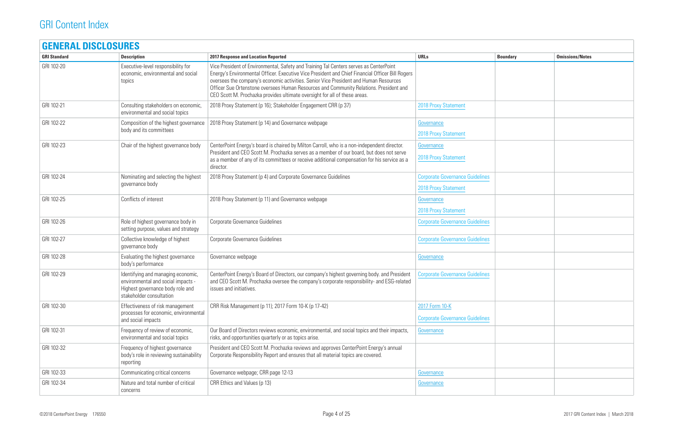| <b>GENERAL DISCLOSURES</b> |                                                                                                                                          |                                                                                                                                                                                                                                                                                                                                                                                                                                                             |                                                                       |                 |                        |
|----------------------------|------------------------------------------------------------------------------------------------------------------------------------------|-------------------------------------------------------------------------------------------------------------------------------------------------------------------------------------------------------------------------------------------------------------------------------------------------------------------------------------------------------------------------------------------------------------------------------------------------------------|-----------------------------------------------------------------------|-----------------|------------------------|
| <b>GRI Standard</b>        | <b>Description</b>                                                                                                                       | <b>2017 Response and Location Reported</b>                                                                                                                                                                                                                                                                                                                                                                                                                  | <b>URLs</b>                                                           | <b>Boundary</b> | <b>Omissions/Notes</b> |
| GRI 102-20                 | Executive-level responsibility for<br>economic, environmental and social<br>topics                                                       | Vice President of Environmental, Safety and Training Tal Centers serves as CenterPoint<br>Energy's Environmental Officer. Executive Vice President and Chief Financial Officer Bill Rogers<br>oversees the company's economic activities. Senior Vice President and Human Resources<br>Officer Sue Ortenstone oversees Human Resources and Community Relations. President and<br>CEO Scott M. Prochazka provides ultimate oversight for all of these areas. |                                                                       |                 |                        |
| GRI 102-21                 | Consulting stakeholders on economic,<br>environmental and social topics                                                                  | 2018 Proxy Statement (p 16); Stakeholder Engagement CRR (p 37)                                                                                                                                                                                                                                                                                                                                                                                              | <b>2018 Proxy Statement</b>                                           |                 |                        |
| GRI 102-22                 | Composition of the highest governance<br>body and its committees                                                                         | 2018 Proxy Statement (p 14) and Governance webpage                                                                                                                                                                                                                                                                                                                                                                                                          | Governance<br>2018 Proxy Statement                                    |                 |                        |
| GRI 102-23                 | Chair of the highest governance body                                                                                                     | CenterPoint Energy's board is chaired by Milton Carroll, who is a non-independent director.<br>President and CEO Scott M. Prochazka serves as a member of our board, but does not serve<br>as a member of any of its committees or receive additional compensation for his service as a<br>director.                                                                                                                                                        | Governance<br><b>2018 Proxy Statement</b>                             |                 |                        |
| GRI 102-24                 | Nominating and selecting the highest<br>governance body                                                                                  | 2018 Proxy Statement (p 4) and Corporate Governance Guidelines                                                                                                                                                                                                                                                                                                                                                                                              | <b>Corporate Governance Guidelines</b><br><b>2018 Proxy Statement</b> |                 |                        |
| GRI 102-25                 | Conflicts of interest                                                                                                                    | 2018 Proxy Statement (p 11) and Governance webpage                                                                                                                                                                                                                                                                                                                                                                                                          | Governance<br>2018 Proxy Statement                                    |                 |                        |
| GRI 102-26                 | Role of highest governance body in<br>setting purpose, values and strategy                                                               | Corporate Governance Guidelines                                                                                                                                                                                                                                                                                                                                                                                                                             | <b>Corporate Governance Guidelines</b>                                |                 |                        |
| GRI 102-27                 | Collective knowledge of highest<br>governance body                                                                                       | Corporate Governance Guidelines                                                                                                                                                                                                                                                                                                                                                                                                                             | <b>Corporate Governance Guidelines</b>                                |                 |                        |
| GRI 102-28                 | Evaluating the highest governance<br>body's performance                                                                                  | Governance webpage                                                                                                                                                                                                                                                                                                                                                                                                                                          | Governance                                                            |                 |                        |
| GRI 102-29                 | Identifying and managing economic,<br>environmental and social impacts -<br>Highest governance body role and<br>stakeholder consultation | CenterPoint Energy's Board of Directors, our company's highest governing body. and President<br>and CEO Scott M. Prochazka oversee the company's corporate responsibility- and ESG-related<br>issues and initiatives.                                                                                                                                                                                                                                       | <b>Corporate Governance Guidelines</b>                                |                 |                        |
| GRI 102-30                 | Effectiveness of risk management<br>processes for economic, environmental<br>and social impacts                                          | CRR Risk Management (p 11); 2017 Form 10-K (p 17-42)                                                                                                                                                                                                                                                                                                                                                                                                        | 2017 Form 10-K<br><b>Corporate Governance Guidelines</b>              |                 |                        |
| GRI 102-31                 | Frequency of review of economic,<br>environmental and social topics                                                                      | Our Board of Directors reviews economic, environmental, and social topics and their impacts,<br>risks, and opportunities quarterly or as topics arise.                                                                                                                                                                                                                                                                                                      | Governance                                                            |                 |                        |
| GRI 102-32                 | Frequency of highest governance<br>body's role in reviewing sustainability<br>reporting                                                  | President and CEO Scott M. Prochazka reviews and approves CenterPoint Energy's annual<br>Corporate Responsibility Report and ensures that all material topics are covered.                                                                                                                                                                                                                                                                                  |                                                                       |                 |                        |
| GRI 102-33                 | Communicating critical concerns                                                                                                          | Governance webpage; CRR page 12-13                                                                                                                                                                                                                                                                                                                                                                                                                          | Governance                                                            |                 |                        |
| GRI 102-34                 | Nature and total number of critical<br>concerns                                                                                          | CRR Ethics and Values (p 13)                                                                                                                                                                                                                                                                                                                                                                                                                                | Governance                                                            |                 |                        |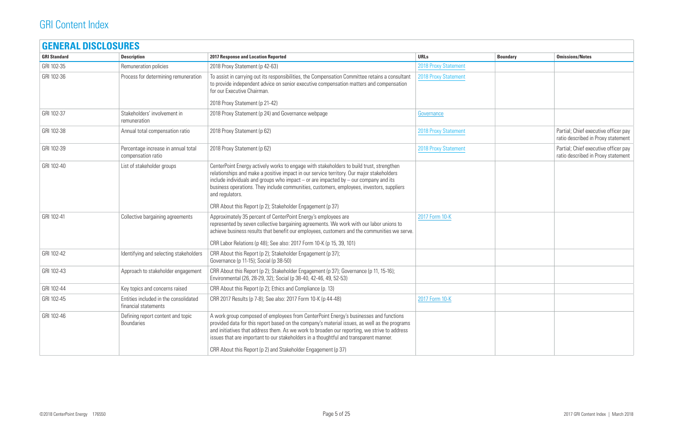| <b>GRI Standard</b> | <b>Description</b>                                            | <b>2017 Response and Location Reported</b>                                                                                                                                                                                                                                                                                                                                                        | <b>URLs</b><br><b>Boundary</b> | <b>Omissions/Notes</b>                                                     |
|---------------------|---------------------------------------------------------------|---------------------------------------------------------------------------------------------------------------------------------------------------------------------------------------------------------------------------------------------------------------------------------------------------------------------------------------------------------------------------------------------------|--------------------------------|----------------------------------------------------------------------------|
| GRI 102-35          | Remuneration policies                                         | 2018 Proxy Statement (p 42-63)                                                                                                                                                                                                                                                                                                                                                                    | <b>2018 Proxy Statement</b>    |                                                                            |
| GRI 102-36          | Process for determining remuneration                          | To assist in carrying out its responsibilities, the Compensation Committee retains a consultant<br>to provide independent advice on senior executive compensation matters and compensation<br>for our Executive Chairman.                                                                                                                                                                         | <b>2018 Proxy Statement</b>    |                                                                            |
|                     |                                                               | 2018 Proxy Statement (p 21-42)                                                                                                                                                                                                                                                                                                                                                                    |                                |                                                                            |
| GRI 102-37          | Stakeholders' involvement in<br>remuneration                  | 2018 Proxy Statement (p 24) and Governance webpage                                                                                                                                                                                                                                                                                                                                                | Governance                     |                                                                            |
| GRI 102-38          | Annual total compensation ratio                               | 2018 Proxy Statement (p 62)                                                                                                                                                                                                                                                                                                                                                                       | <b>2018 Proxy Statement</b>    | Partial; Chief executive officer pay<br>ratio described in Proxy statement |
| GRI 102-39          | Percentage increase in annual total<br>compensation ratio     | 2018 Proxy Statement (p 62)                                                                                                                                                                                                                                                                                                                                                                       | <b>2018 Proxy Statement</b>    | Partial; Chief executive officer pay<br>ratio described in Proxy statement |
| GRI 102-40          | List of stakeholder groups                                    | CenterPoint Energy actively works to engage with stakeholders to build trust, strengthen<br>relationships and make a positive impact in our service territory. Our major stakeholders<br>include individuals and groups who impact $-$ or are impacted by $-$ our company and its<br>business operations. They include communities, customers, employees, investors, suppliers<br>and regulators. |                                |                                                                            |
|                     |                                                               | CRR About this Report (p 2); Stakeholder Engagement (p 37)                                                                                                                                                                                                                                                                                                                                        |                                |                                                                            |
| GRI 102-41          | Collective bargaining agreements                              | Approximately 35 percent of CenterPoint Energy's employees are<br>represented by seven collective bargaining agreements. We work with our labor unions to<br>achieve business results that benefit our employees, customers and the communities we serve.                                                                                                                                         | 2017 Form 10-K                 |                                                                            |
|                     |                                                               | CRR Labor Relations (p 48); See also: 2017 Form 10-K (p 15, 39, 101)                                                                                                                                                                                                                                                                                                                              |                                |                                                                            |
| GRI 102-42          | Identifying and selecting stakeholders                        | CRR About this Report (p 2); Stakeholder Engagement (p 37);<br>Governance (p 11-15); Social (p 38-50)                                                                                                                                                                                                                                                                                             |                                |                                                                            |
| GRI 102-43          | Approach to stakeholder engagement                            | CRR About this Report (p 2); Stakeholder Engagement (p 37); Governance (p 11, 15-16);<br>Environmental (26, 28-29, 32); Social (p 38-40, 42-46, 49, 52-53)                                                                                                                                                                                                                                        |                                |                                                                            |
| GRI 102-44          | Key topics and concerns raised                                | CRR About this Report (p 2); Ethics and Compliance (p. 13)                                                                                                                                                                                                                                                                                                                                        |                                |                                                                            |
| GRI 102-45          | Entities included in the consolidated<br>financial statements | CRR 2017 Results (p 7-8); See also: 2017 Form 10-K (p 44-48)                                                                                                                                                                                                                                                                                                                                      | 2017 Form 10-K                 |                                                                            |
| GRI 102-46          | Defining report content and topic<br><b>Boundaries</b>        | A work group composed of employees from CenterPoint Energy's businesses and functions<br>provided data for this report based on the company's material issues, as well as the programs<br>and initiatives that address them. As we work to broaden our reporting, we strive to address<br>issues that are important to our stakeholders in a thoughtful and transparent manner.                   |                                |                                                                            |
|                     |                                                               | CRR About this Report (p 2) and Stakeholder Engagement (p 37)                                                                                                                                                                                                                                                                                                                                     |                                |                                                                            |
|                     |                                                               |                                                                                                                                                                                                                                                                                                                                                                                                   |                                |                                                                            |

| <b>Boundary</b> | <b>Omissions/Notes</b>                                                     |
|-----------------|----------------------------------------------------------------------------|
|                 |                                                                            |
|                 |                                                                            |
|                 |                                                                            |
|                 |                                                                            |
|                 |                                                                            |
|                 |                                                                            |
|                 | Partial; Chief executive officer pay<br>ratio described in Proxy statement |
|                 | Partial; Chief executive officer pay<br>ratio described in Proxy statement |
|                 |                                                                            |
|                 |                                                                            |
|                 |                                                                            |
|                 |                                                                            |
|                 |                                                                            |
|                 |                                                                            |
|                 |                                                                            |
|                 |                                                                            |
|                 |                                                                            |
|                 |                                                                            |
|                 |                                                                            |
|                 |                                                                            |
|                 |                                                                            |
|                 |                                                                            |
|                 |                                                                            |
|                 |                                                                            |
|                 |                                                                            |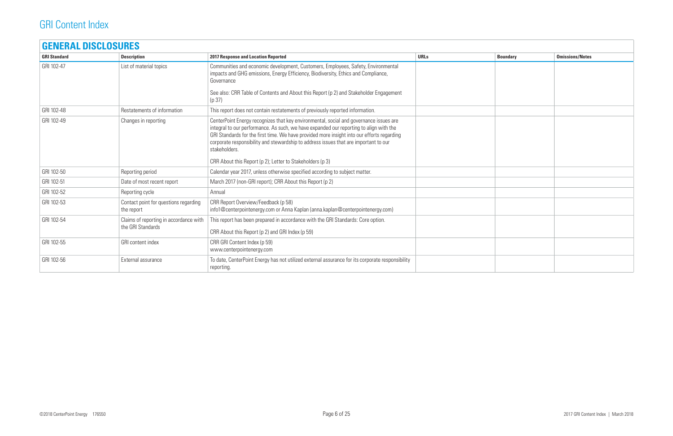| <b>GRI Standard</b> | <b>Description</b>                                          | <b>2017 Response and Location Reported</b>                                                                                                                                                                                                                                                                                                                                              | <b>URLs</b> | <b>Boundary</b> | <b>Omissions/Notes</b> |
|---------------------|-------------------------------------------------------------|-----------------------------------------------------------------------------------------------------------------------------------------------------------------------------------------------------------------------------------------------------------------------------------------------------------------------------------------------------------------------------------------|-------------|-----------------|------------------------|
| GRI 102-47          | List of material topics                                     | Communities and economic development, Customers, Employees, Safety, Environmental<br>impacts and GHG emissions, Energy Efficiency, Biodiversity, Ethics and Compliance,<br>Governance                                                                                                                                                                                                   |             |                 |                        |
|                     |                                                             | See also: CRR Table of Contents and About this Report (p 2) and Stakeholder Engagement<br>(p 37)                                                                                                                                                                                                                                                                                        |             |                 |                        |
| GRI 102-48          | Restatements of information                                 | This report does not contain restatements of previously reported information.                                                                                                                                                                                                                                                                                                           |             |                 |                        |
| GRI 102-49          | Changes in reporting                                        | CenterPoint Energy recognizes that key environmental, social and governance issues are<br>integral to our performance. As such, we have expanded our reporting to align with the<br>GRI Standards for the first time. We have provided more insight into our efforts regarding<br>corporate responsibility and stewardship to address issues that are important to our<br>stakeholders. |             |                 |                        |
|                     |                                                             | CRR About this Report (p 2); Letter to Stakeholders (p 3)                                                                                                                                                                                                                                                                                                                               |             |                 |                        |
| GRI 102-50          | Reporting period                                            | Calendar year 2017, unless otherwise specified according to subject matter.                                                                                                                                                                                                                                                                                                             |             |                 |                        |
| GRI 102-51          | Date of most recent report                                  | March 2017 (non-GRI report); CRR About this Report (p 2)                                                                                                                                                                                                                                                                                                                                |             |                 |                        |
| GRI 102-52          | Reporting cycle                                             | Annual                                                                                                                                                                                                                                                                                                                                                                                  |             |                 |                        |
| GRI 102-53          | Contact point for questions regarding<br>the report         | CRR Report Overview/Feedback (p 58)<br>info1@centerpointenergy.com or Anna Kaplan (anna.kaplan@centerpointenergy.com)                                                                                                                                                                                                                                                                   |             |                 |                        |
| GRI 102-54          | Claims of reporting in accordance with<br>the GRI Standards | This report has been prepared in accordance with the GRI Standards: Core option.<br>CRR About this Report (p 2) and GRI Index (p 59)                                                                                                                                                                                                                                                    |             |                 |                        |
| GRI 102-55          | GRI content index                                           | CRR GRI Content Index (p 59)<br>www.centerpointenergy.com                                                                                                                                                                                                                                                                                                                               |             |                 |                        |
| GRI 102-56          | External assurance                                          | To date, CenterPoint Energy has not utilized external assurance for its corporate responsibility<br>reporting.                                                                                                                                                                                                                                                                          |             |                 |                        |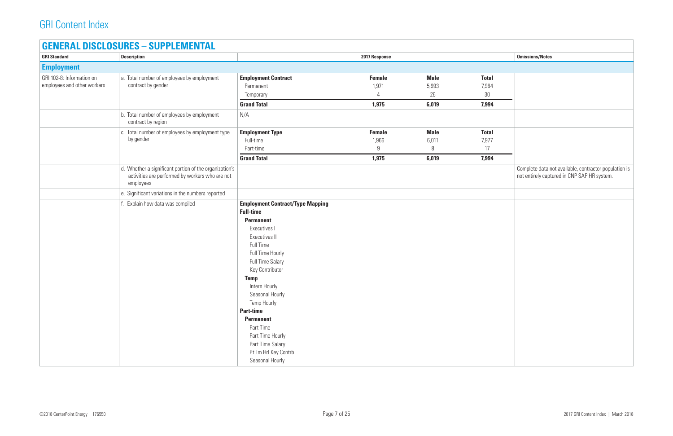#### **GENERAL DISCLOSURES – SUPPLEMENTAL**

| <b>GRI Standard</b>                                      | <b>Description</b>                                                                                                     |                                                                                                                                                                                                                                                                                                                                                                                                           | 2017 Response                        |                                     |                                      | <b>Omissions/Notes</b>               |
|----------------------------------------------------------|------------------------------------------------------------------------------------------------------------------------|-----------------------------------------------------------------------------------------------------------------------------------------------------------------------------------------------------------------------------------------------------------------------------------------------------------------------------------------------------------------------------------------------------------|--------------------------------------|-------------------------------------|--------------------------------------|--------------------------------------|
| <b>Employment</b>                                        |                                                                                                                        |                                                                                                                                                                                                                                                                                                                                                                                                           |                                      |                                     |                                      |                                      |
| GRI 102-8: Information on<br>employees and other workers | a. Total number of employees by employment<br>contract by gender                                                       | <b>Employment Contract</b><br>Permanent<br>Temporary<br><b>Grand Total</b>                                                                                                                                                                                                                                                                                                                                | <b>Female</b><br>1,971<br>4<br>1,975 | <b>Male</b><br>5,993<br>26<br>6,019 | <b>Total</b><br>7,964<br>30<br>7,994 |                                      |
|                                                          | b. Total number of employees by employment<br>contract by region                                                       | N/A                                                                                                                                                                                                                                                                                                                                                                                                       |                                      |                                     |                                      |                                      |
|                                                          | c. Total number of employees by employment type<br>by gender                                                           | <b>Employment Type</b><br>Full-time<br>Part-time<br><b>Grand Total</b>                                                                                                                                                                                                                                                                                                                                    | <b>Female</b><br>1,966<br>9<br>1,975 | <b>Male</b><br>6,011<br>8<br>6,019  | <b>Total</b><br>7,977<br>17<br>7,994 |                                      |
|                                                          | d. Whether a significant portion of the organization's<br>activities are performed by workers who are not<br>employees |                                                                                                                                                                                                                                                                                                                                                                                                           |                                      |                                     |                                      | Complete data r<br>not entirely capt |
|                                                          | e. Significant variations in the numbers reported                                                                      |                                                                                                                                                                                                                                                                                                                                                                                                           |                                      |                                     |                                      |                                      |
|                                                          | f. Explain how data was compiled                                                                                       | <b>Employment Contract/Type Mapping</b><br><b>Full-time</b><br><b>Permanent</b><br>Executives I<br>Executives II<br>Full Time<br>Full Time Hourly<br><b>Full Time Salary</b><br>Key Contributor<br><b>Temp</b><br>Intern Hourly<br>Seasonal Hourly<br>Temp Hourly<br><b>Part-time</b><br><b>Permanent</b><br>Part Time<br>Part Time Hourly<br>Part Time Salary<br>Pt Tm Hrl Key Contrb<br>Seasonal Hourly |                                      |                                     |                                      |                                      |

| <b>Omissions/Notes</b>                                |
|-------------------------------------------------------|
|                                                       |
|                                                       |
|                                                       |
|                                                       |
|                                                       |
|                                                       |
|                                                       |
|                                                       |
|                                                       |
| Complete data not available, contractor population is |
| not entirely captured in CNP SAP HR system.           |
|                                                       |
|                                                       |
|                                                       |
|                                                       |
|                                                       |
|                                                       |
|                                                       |
|                                                       |
|                                                       |
|                                                       |
|                                                       |
|                                                       |
|                                                       |
|                                                       |
|                                                       |
|                                                       |
|                                                       |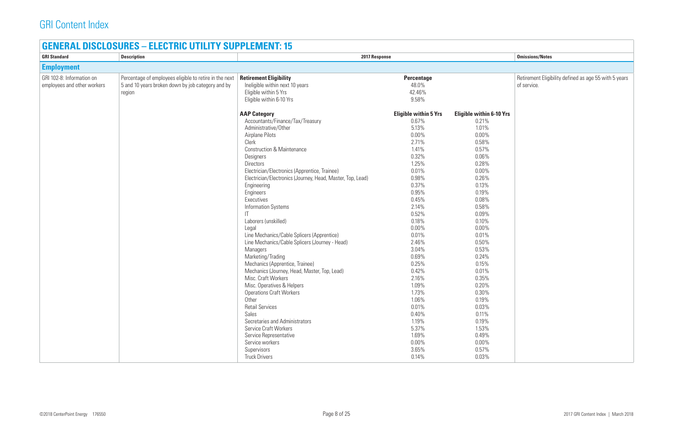### **GENERAL DISCLOSURES – ELECTRIC UTILITY SUPPLEMENT: 15**

| <b>GRI Standard</b>                                      | <b>Description</b>                                                                                                    | 2017 Response                                                                                                                                                                                                                                                                                                                                                                                                                                                                                                                                                                                                                                                                                                                                                                                                                                                                                                                            |                                                                                                                                                                                                                                                                                                                                                      | <b>Omissions/Notes</b>                                                                                                                                                                                                                                                                                                                                              |                                         |
|----------------------------------------------------------|-----------------------------------------------------------------------------------------------------------------------|------------------------------------------------------------------------------------------------------------------------------------------------------------------------------------------------------------------------------------------------------------------------------------------------------------------------------------------------------------------------------------------------------------------------------------------------------------------------------------------------------------------------------------------------------------------------------------------------------------------------------------------------------------------------------------------------------------------------------------------------------------------------------------------------------------------------------------------------------------------------------------------------------------------------------------------|------------------------------------------------------------------------------------------------------------------------------------------------------------------------------------------------------------------------------------------------------------------------------------------------------------------------------------------------------|---------------------------------------------------------------------------------------------------------------------------------------------------------------------------------------------------------------------------------------------------------------------------------------------------------------------------------------------------------------------|-----------------------------------------|
| <b>Employment</b>                                        |                                                                                                                       |                                                                                                                                                                                                                                                                                                                                                                                                                                                                                                                                                                                                                                                                                                                                                                                                                                                                                                                                          |                                                                                                                                                                                                                                                                                                                                                      |                                                                                                                                                                                                                                                                                                                                                                     |                                         |
| GRI 102-8: Information on<br>employees and other workers | Percentage of employees eligible to retire in the next<br>5 and 10 years broken down by job category and by<br>region | <b>Retirement Eligibility</b><br>Ineligible within next 10 years<br>Eligible within 5 Yrs<br>Eligible within 6-10 Yrs                                                                                                                                                                                                                                                                                                                                                                                                                                                                                                                                                                                                                                                                                                                                                                                                                    | <b>Percentage</b><br>48.0%<br>42.46%<br>9.58%                                                                                                                                                                                                                                                                                                        |                                                                                                                                                                                                                                                                                                                                                                     | <b>Retirement Eligil</b><br>of service. |
|                                                          |                                                                                                                       | <b>AAP Category</b><br>Accountants/Finance/Tax/Treasury<br>Administrative/Other<br>Airplane Pilots<br>Clerk<br><b>Construction &amp; Maintenance</b><br>Designers<br><b>Directors</b><br>Electrician/Electronics (Apprentice, Trainee)<br>Electrician/Electronics (Journey, Head, Master, Top, Lead)<br>Engineering<br>Engineers<br>Executives<br><b>Information Systems</b><br>IT<br>Laborers (unskilled)<br>Legal<br>Line Mechanics/Cable Splicers (Apprentice)<br>Line Mechanics/Cable Splicers (Journey - Head)<br><b>Managers</b><br>Marketing/Trading<br>Mechanics (Apprentice, Trainee)<br>Mechanics (Journey, Head, Master, Top, Lead)<br>Misc. Craft Workers<br>Misc. Operatives & Helpers<br><b>Operations Craft Workers</b><br>Other<br><b>Retail Services</b><br>Sales<br>Secretaries and Administrators<br><b>Service Craft Workers</b><br>Service Representative<br>Service workers<br>Supervisors<br><b>Truck Drivers</b> | <b>Eligible within 5 Yrs</b><br>0.67%<br>5.13%<br>$0.00\%$<br>2.71%<br>1.41%<br>0.32%<br>1.25%<br>0.01%<br>0.98%<br>0.37%<br>0.95%<br>0.45%<br>2.14%<br>0.52%<br>0.18%<br>0.00%<br>0.01%<br>2.46%<br>3.04%<br>0.69%<br>0.25%<br>0.42%<br>2.16%<br>1.09%<br>1.73%<br>1.06%<br>0.01%<br>0.40%<br>1.19%<br>5.37%<br>1.69%<br>$0.00\%$<br>3.65%<br>0.14% | <b>Eligible within 6-10 Yrs</b><br>0.21%<br>1.01%<br>$0.00\%$<br>0.58%<br>0.57%<br>$0.06\%$<br>0.28%<br>$0.00\%$<br>0.26%<br>0.13%<br>0.19%<br>0.08%<br>0.58%<br>0.09%<br>0.10%<br>$0.00\%$<br>0.01%<br>0.50%<br>0.53%<br>0.24%<br>0.15%<br>0.01%<br>0.35%<br>0.20%<br>0.30%<br>0.19%<br>0.03%<br>0.11%<br>0.19%<br>1.53%<br>0.49%<br>$0.00\%$<br>0.57%<br>$0.03\%$ |                                         |

|           | <b>Omissions/Notes</b>                                               |
|-----------|----------------------------------------------------------------------|
|           |                                                                      |
| $-10$ Yrs | Retirement Eligibility defined as age 55 with 5 years<br>of service. |
|           |                                                                      |
|           |                                                                      |
|           |                                                                      |
|           |                                                                      |
|           |                                                                      |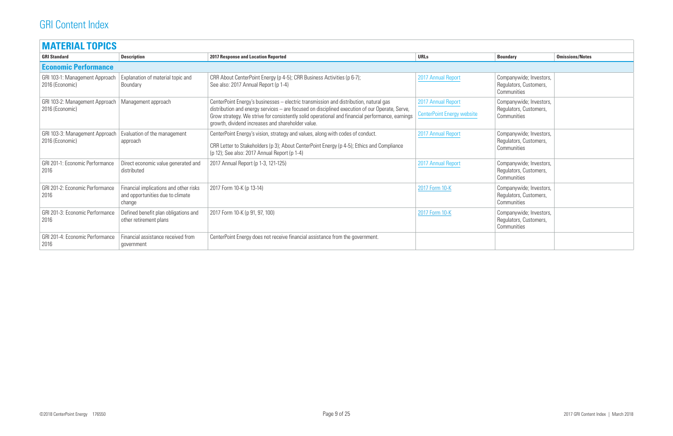| <b>MATERIAL TOPICS</b>                            |                                                                                      |                                                                                                                                                                                                                                                                                                                                                 |                                                  |                                                                  |                        |  |
|---------------------------------------------------|--------------------------------------------------------------------------------------|-------------------------------------------------------------------------------------------------------------------------------------------------------------------------------------------------------------------------------------------------------------------------------------------------------------------------------------------------|--------------------------------------------------|------------------------------------------------------------------|------------------------|--|
| <b>GRI Standard</b>                               | <b>Description</b>                                                                   | <b>2017 Response and Location Reported</b>                                                                                                                                                                                                                                                                                                      | <b>URLs</b>                                      | <b>Boundary</b>                                                  | <b>Omissions/Notes</b> |  |
| <b>Economic Performance</b>                       |                                                                                      |                                                                                                                                                                                                                                                                                                                                                 |                                                  |                                                                  |                        |  |
| GRI 103-1: Management Approach<br>2016 (Economic) | Explanation of material topic and<br>Boundary                                        | CRR About CenterPoint Energy (p 4-5); CRR Business Activities (p 6-7);<br>See also: 2017 Annual Report (p 1-4)                                                                                                                                                                                                                                  | 2017 Annual Report                               | Companywide; Investors,<br>Regulators, Customers,<br>Communities |                        |  |
| GRI 103-2: Management Approach<br>2016 (Economic) | Management approach                                                                  | CenterPoint Energy's businesses – electric transmission and distribution, natural gas<br>distribution and energy services – are focused on disciplined execution of our Operate, Serve,<br>Grow strategy. We strive for consistently solid operational and financial performance, earnings<br>growth, dividend increases and shareholder value. | 2017 Annual Report<br>CenterPoint Energy website | Companywide; Investors,<br>Regulators, Customers,<br>Communities |                        |  |
| GRI 103-3: Management Approach<br>2016 (Economic) | Evaluation of the management<br>approach                                             | CenterPoint Energy's vision, strategy and values, along with codes of conduct.<br>CRR Letter to Stakeholders (p 3); About CenterPoint Energy (p 4-5); Ethics and Compliance<br>(p 12); See also: 2017 Annual Report (p 1-4)                                                                                                                     | 2017 Annual Report                               | Companywide; Investors,<br>Regulators, Customers,<br>Communities |                        |  |
| GRI 201-1: Economic Performance<br>2016           | Direct economic value generated and<br>distributed                                   | 2017 Annual Report (p 1-3, 121-125)                                                                                                                                                                                                                                                                                                             | 2017 Annual Report                               | Companywide; Investors,<br>Regulators, Customers,<br>Communities |                        |  |
| GRI 201-2: Economic Performance<br>2016           | Financial implications and other risks<br>and opportunities due to climate<br>change | 2017 Form 10-K (p 13-14)                                                                                                                                                                                                                                                                                                                        | 2017 Form 10-K                                   | Companywide; Investors,<br>Regulators, Customers,<br>Communities |                        |  |
| GRI 201-3: Economic Performance<br>2016           | Defined benefit plan obligations and<br>other retirement plans                       | 2017 Form 10-K (p 91, 97, 100)                                                                                                                                                                                                                                                                                                                  | 2017 Form 10-K                                   | Companywide; Investors,<br>Regulators, Customers,<br>Communities |                        |  |
| GRI 201-4: Economic Performance<br>2016           | Financial assistance received from<br>government                                     | CenterPoint Energy does not receive financial assistance from the government.                                                                                                                                                                                                                                                                   |                                                  |                                                                  |                        |  |

| <b>Boundary</b>                                                  | <b>Omissions/Notes</b> |
|------------------------------------------------------------------|------------------------|
|                                                                  |                        |
| Companywide; Investors,<br>Regulators, Customers,<br>Communities |                        |
| Companywide; Investors,<br>Regulators, Customers,<br>Communities |                        |
| Companywide; Investors,<br>Regulators, Customers,<br>Communities |                        |
| Companywide; Investors,<br>Regulators, Customers,<br>Communities |                        |
| Companywide; Investors,<br>Regulators, Customers,<br>Communities |                        |
| Companywide; Investors,<br>Regulators, Customers,<br>Communities |                        |
|                                                                  |                        |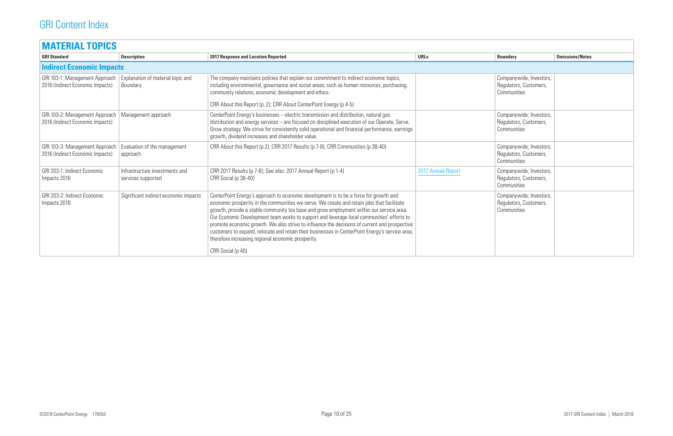| <b>MATERIAL TOPICS</b>                                             |                                                      |                                                                                                                                                                                                                                                                                                                                                                                                                                                                                                                                                                                                                                                             |                    |                                                                  |                        |
|--------------------------------------------------------------------|------------------------------------------------------|-------------------------------------------------------------------------------------------------------------------------------------------------------------------------------------------------------------------------------------------------------------------------------------------------------------------------------------------------------------------------------------------------------------------------------------------------------------------------------------------------------------------------------------------------------------------------------------------------------------------------------------------------------------|--------------------|------------------------------------------------------------------|------------------------|
| <b>GRI Standard</b>                                                | <b>Description</b>                                   | <b>2017 Response and Location Reported</b>                                                                                                                                                                                                                                                                                                                                                                                                                                                                                                                                                                                                                  | <b>URLs</b>        | <b>Boundary</b>                                                  | <b>Omissions/Notes</b> |
| <b>Indirect Economic Impacts</b>                                   |                                                      |                                                                                                                                                                                                                                                                                                                                                                                                                                                                                                                                                                                                                                                             |                    |                                                                  |                        |
| GRI 103-1: Management Approach<br>2016 (Indirect Economic Impacts) | Explanation of material topic and<br>Boundary        | The company maintains policies that explain our commitment to indirect economic topics,<br>including environmental, governance and social areas, such as human resources, purchasing,<br>community relations, economic development and ethics.<br>CRR About this Report (p. 2); CRR About CenterPoint Energy (p 4-5)                                                                                                                                                                                                                                                                                                                                        |                    | Companywide; Investors,<br>Regulators, Customers,<br>Communities |                        |
| GRI 103-2: Management Approach<br>2016 (Indirect Economic Impacts) | Management approach                                  | CenterPoint Energy's businesses - electric transmission and distribution, natural gas<br>distribution and energy services - are focused on disciplined execution of our Operate, Serve,<br>Grow strategy. We strive for consistently solid operational and financial performance, earnings<br>growth, dividend increases and shareholder value.                                                                                                                                                                                                                                                                                                             |                    | Companywide; Investors,<br>Regulators, Customers,<br>Communities |                        |
| GRI 103-3: Management Approach<br>2016 (Indirect Economic Impacts) | Evaluation of the management<br>approach             | CRR About this Report (p 2); CRR 2017 Results (p 7-8); CRR Communities (p 38-40)                                                                                                                                                                                                                                                                                                                                                                                                                                                                                                                                                                            |                    | Companywide; Investors,<br>Regulators, Customers,<br>Communities |                        |
| GRI 203-1: Indirect Economic<br>Impacts 2016                       | Infrastructure investments and<br>services supported | CRR 2017 Results (p 7-8); See also: 2017 Annual Report (p 1-4)<br>CRR Social (p 38-40)                                                                                                                                                                                                                                                                                                                                                                                                                                                                                                                                                                      | 2017 Annual Report | Companywide; Investors,<br>Regulators, Customers,<br>Communities |                        |
| GRI 203-2: Indirect Economic<br>Impacts 2016                       | Significant indirect economic impacts                | CenterPoint Energy's approach to economic development is to be a force for growth and<br>economic prosperity in the communities we serve. We create and retain jobs that facilitate<br>growth, provide a stable community tax base and grow employment within our service area.<br>Our Economic Development team works to support and leverage local communities' efforts to<br>promote economic growth. We also strive to influence the decisions of current and prospective<br>customers to expand, relocate and retain their businesses in CenterPoint Energy's service area,<br>therefore increasing regional economic prosperity.<br>CRR Social (p 40) |                    | Companywide; Investors,<br>Regulators, Customers,<br>Communities |                        |

| <b>Boundary</b>                                                  | <b>Omissions/Notes</b> |
|------------------------------------------------------------------|------------------------|
|                                                                  |                        |
| Companywide; Investors,<br>Regulators, Customers,<br>Communities |                        |
| Companywide; Investors,<br>Regulators, Customers,<br>Communities |                        |
| Companywide; Investors,<br>Regulators, Customers,<br>Communities |                        |
| Companywide; Investors,<br>Regulators, Customers,<br>Communities |                        |
| Companywide; Investors,<br>Regulators, Customers,<br>Communities |                        |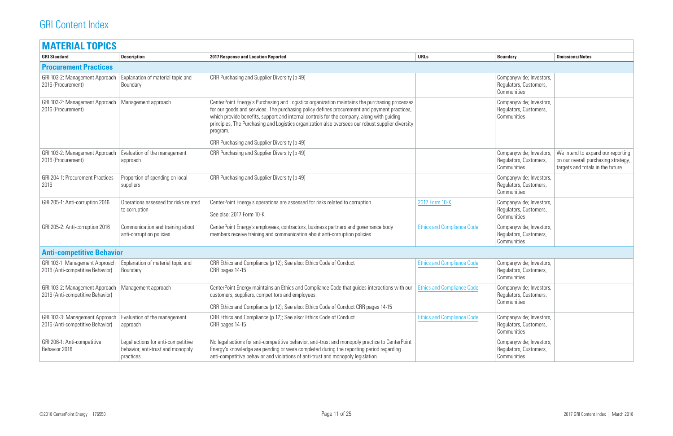| <b>MATERIAL TOPICS</b>                                                                   |                                                                                      |                                                                                                                                                                                                                                                                                                                                                                                                             |                                   |                                                                  |                                                          |
|------------------------------------------------------------------------------------------|--------------------------------------------------------------------------------------|-------------------------------------------------------------------------------------------------------------------------------------------------------------------------------------------------------------------------------------------------------------------------------------------------------------------------------------------------------------------------------------------------------------|-----------------------------------|------------------------------------------------------------------|----------------------------------------------------------|
| <b>GRI Standard</b>                                                                      | <b>Description</b>                                                                   | <b>2017 Response and Location Reported</b>                                                                                                                                                                                                                                                                                                                                                                  | <b>URLs</b>                       | <b>Boundary</b>                                                  | <b>Omissions/Notes</b>                                   |
| <b>Procurement Practices</b>                                                             |                                                                                      |                                                                                                                                                                                                                                                                                                                                                                                                             |                                   |                                                                  |                                                          |
| GRI 103-2: Management Approach<br>2016 (Procurement)                                     | Explanation of material topic and<br>Boundary                                        | CRR Purchasing and Supplier Diversity (p 49)                                                                                                                                                                                                                                                                                                                                                                |                                   | Companywide; Investors,<br>Regulators, Customers,<br>Communities |                                                          |
| GRI 103-2: Management Approach<br>2016 (Procurement)                                     | Management approach                                                                  | CenterPoint Energy's Purchasing and Logistics organization maintains the purchasing processes<br>for our goods and services. The purchasing policy defines procurement and payment practices,<br>which provide benefits, support and internal controls for the company, along with guiding<br>principles, The Purchasing and Logistics organization also oversees our robust supplier diversity<br>program. |                                   | Companywide; Investors,<br>Regulators, Customers,<br>Communities |                                                          |
|                                                                                          |                                                                                      | CRR Purchasing and Supplier Diversity (p 49)                                                                                                                                                                                                                                                                                                                                                                |                                   |                                                                  |                                                          |
| GRI 103-2: Management Approach<br>2016 (Procurement)                                     | Evaluation of the management<br>approach                                             | CRR Purchasing and Supplier Diversity (p 49)                                                                                                                                                                                                                                                                                                                                                                |                                   | Companywide; Investors,<br>Regulators, Customers,<br>Communities | We intend to ex<br>on our overall pu<br>targets and tota |
| <b>GRI 204-1: Procurement Practices</b><br>2016                                          | Proportion of spending on local<br>suppliers                                         | CRR Purchasing and Supplier Diversity (p 49)                                                                                                                                                                                                                                                                                                                                                                |                                   | Companywide; Investors,<br>Regulators, Customers,<br>Communities |                                                          |
| GRI 205-1: Anti-corruption 2016                                                          | Operations assessed for risks related<br>to corruption                               | CenterPoint Energy's operations are assessed for risks related to corruption.<br>See also: 2017 Form 10-K                                                                                                                                                                                                                                                                                                   | 2017 Form 10-K                    | Companywide; Investors,<br>Regulators, Customers,<br>Communities |                                                          |
| GRI 205-2: Anti-corruption 2016                                                          | Communication and training about<br>anti-corruption policies                         | CenterPoint Energy's employees, contractors, business partners and governance body<br>members receive training and communication about anti-corruption policies.                                                                                                                                                                                                                                            | <b>Ethics and Compliance Code</b> | Companywide; Investors,<br>Regulators, Customers,<br>Communities |                                                          |
| <b>Anti-competitive Behavior</b>                                                         |                                                                                      |                                                                                                                                                                                                                                                                                                                                                                                                             |                                   |                                                                  |                                                          |
| GRI 103-1: Management Approach<br>2016 (Anti-competitive Behavior)                       | Explanation of material topic and<br>Boundary                                        | CRR Ethics and Compliance (p 12); See also: Ethics Code of Conduct<br>CRR pages 14-15                                                                                                                                                                                                                                                                                                                       | <b>Ethics and Compliance Code</b> | Companywide; Investors,<br>Regulators, Customers,<br>Communities |                                                          |
| GRI 103-2: Management Approach   Management approach<br>2016 (Anti-competitive Behavior) |                                                                                      | CenterPoint Energy maintains an Ethics and Compliance Code that guides interactions with our   Ethics and Compliance Code<br>customers, suppliers, competitors and employees.                                                                                                                                                                                                                               |                                   | Companywide; Investors,<br>Regulators, Customers,<br>Communities |                                                          |
|                                                                                          |                                                                                      | CRR Ethics and Compliance (p 12); See also: Ethics Code of Conduct CRR pages 14-15                                                                                                                                                                                                                                                                                                                          |                                   |                                                                  |                                                          |
| GRI 103-3: Management Approach<br>2016 (Anti-competitive Behavior)                       | Evaluation of the management<br>approach                                             | CRR Ethics and Compliance (p 12); See also: Ethics Code of Conduct<br>CRR pages 14-15                                                                                                                                                                                                                                                                                                                       | <b>Ethics and Compliance Code</b> | Companywide; Investors,<br>Regulators, Customers,<br>Communities |                                                          |
| GRI 206-1: Anti-competitive<br>Behavior 2016                                             | Legal actions for anti-competitive<br>behavior, anti-trust and monopoly<br>practices | No legal actions for anti-competitive behavior, anti-trust and monopoly practice to CenterPoint<br>Energy's knowledge are pending or were completed during the reporting period regarding<br>anti-competitive behavior and violations of anti-trust and monopoly legislation.                                                                                                                               |                                   | Companywide; Investors,<br>Regulators, Customers,<br>Communities |                                                          |

| <b>Boundary</b>                                                  | <b>Omissions/Notes</b>                                                                                        |
|------------------------------------------------------------------|---------------------------------------------------------------------------------------------------------------|
|                                                                  |                                                                                                               |
| Companywide; Investors,<br>Regulators, Customers,<br>Communities |                                                                                                               |
| Companywide; Investors,<br>Regulators, Customers,<br>Communities |                                                                                                               |
| Companywide; Investors,<br>Regulators, Customers,<br>Communities | We intend to expand our reporting<br>on our overall purchasing strategy,<br>targets and totals in the future. |
| Companywide; Investors,<br>Regulators, Customers,<br>Communities |                                                                                                               |
| Companywide; Investors,<br>Regulators, Customers,<br>Communities |                                                                                                               |
| Companywide; Investors,<br>Regulators, Customers,<br>Communities |                                                                                                               |
|                                                                  |                                                                                                               |
| Companywide; Investors,<br>Regulators, Customers,<br>Communities |                                                                                                               |
| Companywide; Investors<br>Regulators, Customers,<br>Communities  |                                                                                                               |
| Companywide; Investors,<br>Regulators, Customers,<br>Communities |                                                                                                               |
| Companywide; Investors,<br>Regulators, Customers,<br>Communities |                                                                                                               |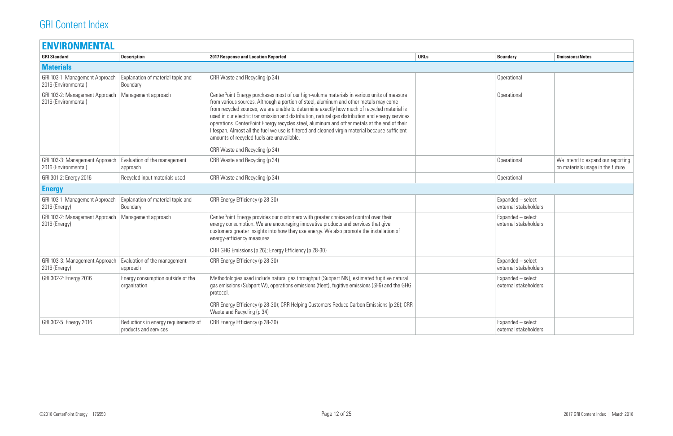| <b>ENVIRONMENTAL</b>                                   |                                                               |                                                                                                                                                                                                                                                                                                                                                                                                                                                                                                                                                                                                                                                                          |             |                                            |                                                                        |
|--------------------------------------------------------|---------------------------------------------------------------|--------------------------------------------------------------------------------------------------------------------------------------------------------------------------------------------------------------------------------------------------------------------------------------------------------------------------------------------------------------------------------------------------------------------------------------------------------------------------------------------------------------------------------------------------------------------------------------------------------------------------------------------------------------------------|-------------|--------------------------------------------|------------------------------------------------------------------------|
| <b>GRI Standard</b>                                    | <b>Description</b>                                            | <b>2017 Response and Location Reported</b>                                                                                                                                                                                                                                                                                                                                                                                                                                                                                                                                                                                                                               | <b>URLs</b> | <b>Boundary</b>                            | <b>Omissions/Notes</b>                                                 |
| <b>Materials</b>                                       |                                                               |                                                                                                                                                                                                                                                                                                                                                                                                                                                                                                                                                                                                                                                                          |             |                                            |                                                                        |
| GRI 103-1: Management Approach<br>2016 (Environmental) | Explanation of material topic and<br>Boundary                 | CRR Waste and Recycling (p 34)                                                                                                                                                                                                                                                                                                                                                                                                                                                                                                                                                                                                                                           |             | Operational                                |                                                                        |
| GRI 103-2: Management Approach<br>2016 (Environmental) | Management approach                                           | CenterPoint Energy purchases most of our high-volume materials in various units of measure<br>from various sources. Although a portion of steel, aluminum and other metals may come<br>from recycled sources, we are unable to determine exactly how much of recycled material is<br>used in our electric transmission and distribution, natural gas distribution and energy services<br>operations. CenterPoint Energy recycles steel, aluminum and other metals at the end of their<br>lifespan. Almost all the fuel we use is filtered and cleaned virgin material because sufficient<br>amounts of recycled fuels are unavailable.<br>CRR Waste and Recycling (p 34) |             | Operational                                |                                                                        |
| GRI 103-3: Management Approach<br>2016 (Environmental) | Evaluation of the management<br>approach                      | CRR Waste and Recycling (p 34)                                                                                                                                                                                                                                                                                                                                                                                                                                                                                                                                                                                                                                           |             | Operational                                | We intend to expand our reporting<br>on materials usage in the future. |
| GRI 301-2: Energy 2016                                 | Recycled input materials used                                 | CRR Waste and Recycling (p 34)                                                                                                                                                                                                                                                                                                                                                                                                                                                                                                                                                                                                                                           |             | Operational                                |                                                                        |
| <b>Energy</b>                                          |                                                               |                                                                                                                                                                                                                                                                                                                                                                                                                                                                                                                                                                                                                                                                          |             |                                            |                                                                        |
| GRI 103-1: Management Approach<br>2016 (Energy)        | Explanation of material topic and<br>Boundary                 | CRR Energy Efficiency (p 28-30)                                                                                                                                                                                                                                                                                                                                                                                                                                                                                                                                                                                                                                          |             | Expanded - select<br>external stakeholders |                                                                        |
| GRI 103-2: Management Approach<br>2016 (Energy)        | Management approach                                           | CenterPoint Energy provides our customers with greater choice and control over their<br>energy consumption. We are encouraging innovative products and services that give<br>customers greater insights into how they use energy. We also promote the installation of<br>energy-efficiency measures.<br>CRR GHG Emissions (p 26); Energy Efficiency (p 28-30)                                                                                                                                                                                                                                                                                                            |             | Expanded - select<br>external stakeholders |                                                                        |
| GRI 103-3: Management Approach<br>2016 (Energy)        | Evaluation of the management<br>approach                      | CRR Energy Efficiency (p 28-30)                                                                                                                                                                                                                                                                                                                                                                                                                                                                                                                                                                                                                                          |             | Expanded - select<br>external stakeholders |                                                                        |
| GRI 302-2: Energy 2016                                 | Energy consumption outside of the<br>organization             | Methodologies used include natural gas throughput (Subpart NN), estimated fugitive natural<br>gas emissions (Subpart W), operations emissions (fleet), fugitive emissions (SF6) and the GHG<br>protocol.<br>CRR Energy Efficiency (p 28-30); CRR Helping Customers Reduce Carbon Emissions (p 26); CRR<br>Waste and Recycling (p 34)                                                                                                                                                                                                                                                                                                                                     |             | Expanded - select<br>external stakeholders |                                                                        |
| GRI 302-5: Energy 2016                                 | Reductions in energy requirements of<br>products and services | CRR Energy Efficiency (p 28-30)                                                                                                                                                                                                                                                                                                                                                                                                                                                                                                                                                                                                                                          |             | Expanded - select<br>external stakeholders |                                                                        |

| <b>Boundary</b>                            | <b>Omissions/Notes</b>                                                 |
|--------------------------------------------|------------------------------------------------------------------------|
|                                            |                                                                        |
| Operational                                |                                                                        |
| Operational                                |                                                                        |
| Operational                                | We intend to expand our reporting<br>on materials usage in the future. |
| Operational                                |                                                                        |
|                                            |                                                                        |
| Expanded - select<br>external stakeholders |                                                                        |
| Expanded - select<br>external stakeholders |                                                                        |
| Expanded - select<br>external stakeholders |                                                                        |
| Expanded - select<br>external stakeholders |                                                                        |
| Expanded - select<br>external stakeholders |                                                                        |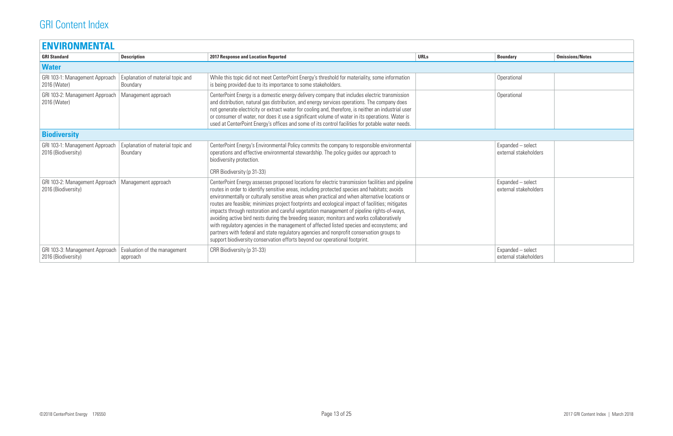| <b>ENVIRONMENTAL</b>                                  |                                               |                                                                                                                                                                                                                                                                                                                                                                                                                                                                                                                                                                                                                                                                                                                                                                                                                                                                           |             |                                            |                        |
|-------------------------------------------------------|-----------------------------------------------|---------------------------------------------------------------------------------------------------------------------------------------------------------------------------------------------------------------------------------------------------------------------------------------------------------------------------------------------------------------------------------------------------------------------------------------------------------------------------------------------------------------------------------------------------------------------------------------------------------------------------------------------------------------------------------------------------------------------------------------------------------------------------------------------------------------------------------------------------------------------------|-------------|--------------------------------------------|------------------------|
| <b>GRI Standard</b>                                   | <b>Description</b>                            | <b>2017 Response and Location Reported</b>                                                                                                                                                                                                                                                                                                                                                                                                                                                                                                                                                                                                                                                                                                                                                                                                                                | <b>URLs</b> | <b>Boundary</b>                            | <b>Omissions/Notes</b> |
| <b>Water</b>                                          |                                               |                                                                                                                                                                                                                                                                                                                                                                                                                                                                                                                                                                                                                                                                                                                                                                                                                                                                           |             |                                            |                        |
| GRI 103-1: Management Approach<br>2016 (Water)        | Explanation of material topic and<br>Boundary | While this topic did not meet CenterPoint Energy's threshold for materiality, some information<br>is being provided due to its importance to some stakeholders.                                                                                                                                                                                                                                                                                                                                                                                                                                                                                                                                                                                                                                                                                                           |             | Operational                                |                        |
| GRI 103-2: Management Approach<br>2016 (Water)        | Management approach                           | CenterPoint Energy is a domestic energy delivery company that includes electric transmission<br>and distribution, natural gas distribution, and energy services operations. The company does<br>not generate electricity or extract water for cooling and, therefore, is neither an industrial user<br>or consumer of water, nor does it use a significant volume of water in its operations. Water is<br>used at CenterPoint Energy's offices and some of its control facilities for potable water needs.                                                                                                                                                                                                                                                                                                                                                                |             | Operational                                |                        |
| <b>Biodiversity</b>                                   |                                               |                                                                                                                                                                                                                                                                                                                                                                                                                                                                                                                                                                                                                                                                                                                                                                                                                                                                           |             |                                            |                        |
| GRI 103-1: Management Approach<br>2016 (Biodiversity) | Explanation of material topic and<br>Boundary | CenterPoint Energy's Environmental Policy commits the company to responsible environmental<br>operations and effective environmental stewardship. The policy guides our approach to<br>biodiversity protection.                                                                                                                                                                                                                                                                                                                                                                                                                                                                                                                                                                                                                                                           |             | Expanded - select<br>external stakeholders |                        |
|                                                       |                                               | CRR Biodiversity (p 31-33)                                                                                                                                                                                                                                                                                                                                                                                                                                                                                                                                                                                                                                                                                                                                                                                                                                                |             |                                            |                        |
| GRI 103-2: Management Approach<br>2016 (Biodiversity) | Management approach                           | CenterPoint Energy assesses proposed locations for electric transmission facilities and pipeline<br>routes in order to identify sensitive areas, including protected species and habitats; avoids<br>environmentally or culturally sensitive areas when practical and when alternative locations or<br>routes are feasible; minimizes project footprints and ecological impact of facilities; mitigates<br>impacts through restoration and careful vegetation management of pipeline rights-of-ways,<br>avoiding active bird nests during the breeding season; monitors and works collaboratively<br>with regulatory agencies in the management of affected listed species and ecosystems; and<br>partners with federal and state regulatory agencies and nonprofit conservation groups to<br>support biodiversity conservation efforts beyond our operational footprint. |             | Expanded - select<br>external stakeholders |                        |
| GRI 103-3: Management Approach<br>2016 (Biodiversity) | Evaluation of the management<br>approach      | CRR Biodiversity (p 31-33)                                                                                                                                                                                                                                                                                                                                                                                                                                                                                                                                                                                                                                                                                                                                                                                                                                                |             | Expanded - select<br>external stakeholders |                        |

| <b>Boundary</b>                            | <b>Omissions/Notes</b> |
|--------------------------------------------|------------------------|
|                                            |                        |
| Operational                                |                        |
| Operational                                |                        |
|                                            |                        |
| Expanded - select<br>external stakeholders |                        |
| Expanded - select<br>external stakeholders |                        |
| Expanded - select<br>external stakeholders |                        |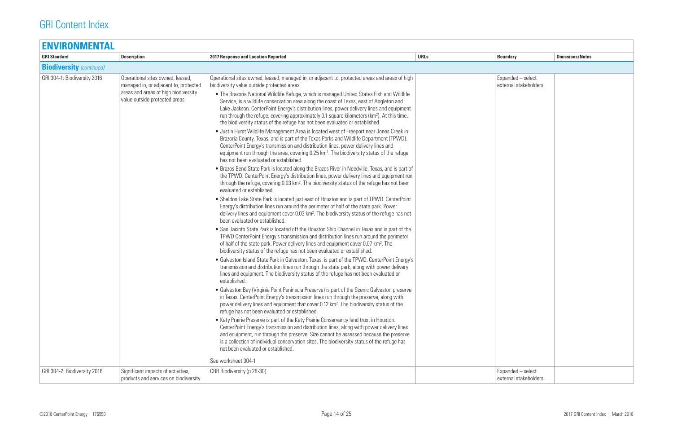| <b>ENVIRONMENTAL</b>            |                                                                                                                                                    |                                                                                                                                                                                                                                                                                                                                                                                                                                                                                                                                                                                                                                                                                                                                                                                                                                                                                                                                                                                                                                                                                                                                                             |             |                                            |                        |
|---------------------------------|----------------------------------------------------------------------------------------------------------------------------------------------------|-------------------------------------------------------------------------------------------------------------------------------------------------------------------------------------------------------------------------------------------------------------------------------------------------------------------------------------------------------------------------------------------------------------------------------------------------------------------------------------------------------------------------------------------------------------------------------------------------------------------------------------------------------------------------------------------------------------------------------------------------------------------------------------------------------------------------------------------------------------------------------------------------------------------------------------------------------------------------------------------------------------------------------------------------------------------------------------------------------------------------------------------------------------|-------------|--------------------------------------------|------------------------|
| <b>GRI Standard</b>             | <b>Description</b>                                                                                                                                 | <b>2017 Response and Location Reported</b>                                                                                                                                                                                                                                                                                                                                                                                                                                                                                                                                                                                                                                                                                                                                                                                                                                                                                                                                                                                                                                                                                                                  | <b>URLs</b> | <b>Boundary</b>                            | <b>Omissions/Notes</b> |
| <b>Biodiversity</b> (continued) |                                                                                                                                                    |                                                                                                                                                                                                                                                                                                                                                                                                                                                                                                                                                                                                                                                                                                                                                                                                                                                                                                                                                                                                                                                                                                                                                             |             |                                            |                        |
| GRI 304-1: Biodiversity 2016    | Operational sites owned, leased,<br>managed in, or adjacent to, protected<br>areas and areas of high biodiversity<br>value outside protected areas | Operational sites owned, leased, managed in, or adjacent to, protected areas and areas of high<br>biodiversity value outside protected areas<br>• The Brazoria National Wildlife Refuge, which is managed United States Fish and Wildlife<br>Service, is a wildlife conservation area along the coast of Texas, east of Angleton and<br>Lake Jackson. CenterPoint Energy's distribution lines, power delivery lines and equipment<br>run through the refuge, covering approximately 0.1 square kilometers (km <sup>2</sup> ). At this time,<br>the biodiversity status of the refuge has not been evaluated or established.<br>• Justin Hurst Wildlife Management Area is located west of Freeport near Jones Creek in<br>Brazoria County, Texas, and is part of the Texas Parks and Wildlife Department (TPWD).<br>CenterPoint Energy's transmission and distribution lines, power delivery lines and<br>equipment run through the area, covering 0.25 km <sup>2</sup> . The biodiversity status of the refuge<br>has not been evaluated or established.<br>• Brazos Bend State Park is located along the Brazos River in Needville, Texas, and is part of |             | Expanded - select<br>external stakeholders |                        |
|                                 |                                                                                                                                                    | the TPWD. CenterPoint Energy's distribution lines, power delivery lines and equipment run<br>through the refuge, covering 0.03 km <sup>2</sup> . The biodiversity status of the refuge has not been<br>evaluated or established.<br>• Sheldon Lake State Park is located just east of Houston and is part of TPWD. CenterPoint<br>Energy's distribution lines run around the perimeter of half of the state park. Power<br>delivery lines and equipment cover 0.03 km <sup>2</sup> . The biodiversity status of the refuge has not<br>been evaluated or established.<br>• San Jacinto State Park is located off the Houston Ship Channel in Texas and is part of the<br>TPWD CenterPoint Energy's transmission and distribution lines run around the perimeter                                                                                                                                                                                                                                                                                                                                                                                              |             |                                            |                        |
|                                 |                                                                                                                                                    | of half of the state park. Power delivery lines and equipment cover 0.07 km <sup>2</sup> . The<br>biodiversity status of the refuge has not been evaluated or established.<br>• Galveston Island State Park in Galveston, Texas, is part of the TPWD. CenterPoint Energy's<br>transmission and distribution lines run through the state park, along with power delivery<br>lines and equipment. The biodiversity status of the refuge has not been evaluated or<br>established.<br>• Galveston Bay (Virginia Point Peninsula Preserve) is part of the Scenic Galveston preserve<br>in Texas. CenterPoint Energy's transmission lines run through the preserve, along with                                                                                                                                                                                                                                                                                                                                                                                                                                                                                   |             |                                            |                        |
|                                 |                                                                                                                                                    | power delivery lines and equipment that cover 0.12 km <sup>2</sup> . The biodiversity status of the<br>refuge has not been evaluated or established.<br>• Katy Prairie Preserve is part of the Katy Prairie Conservancy land trust in Houston.<br>CenterPoint Energy's transmission and distribution lines, along with power delivery lines<br>and equipment, run through the preserve. Size cannot be assessed because the preserve<br>is a collection of individual conservation sites. The biodiversity status of the refuge has<br>not been evaluated or established.<br>See worksheet 304-1                                                                                                                                                                                                                                                                                                                                                                                                                                                                                                                                                            |             |                                            |                        |
| GRI 304-2: Biodiversity 2016    | Significant impacts of activities,<br>products and services on biodiversity                                                                        | CRR Biodiversity (p 28-30)                                                                                                                                                                                                                                                                                                                                                                                                                                                                                                                                                                                                                                                                                                                                                                                                                                                                                                                                                                                                                                                                                                                                  |             | Expanded - select<br>external stakeholders |                        |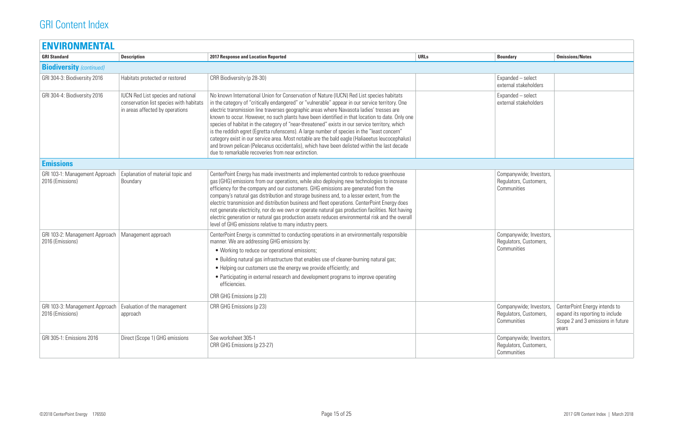| <b>ENVIRONMENTAL</b>                               |                                                                                                                         |                                                                                                                                                                                                                                                                                                                                                                                                                                                                                                                                                                                                                                                                                                                                                                                                                                                    |             |                                                                  |                                                                        |
|----------------------------------------------------|-------------------------------------------------------------------------------------------------------------------------|----------------------------------------------------------------------------------------------------------------------------------------------------------------------------------------------------------------------------------------------------------------------------------------------------------------------------------------------------------------------------------------------------------------------------------------------------------------------------------------------------------------------------------------------------------------------------------------------------------------------------------------------------------------------------------------------------------------------------------------------------------------------------------------------------------------------------------------------------|-------------|------------------------------------------------------------------|------------------------------------------------------------------------|
| <b>GRI Standard</b>                                | <b>Description</b>                                                                                                      | <b>2017 Response and Location Reported</b>                                                                                                                                                                                                                                                                                                                                                                                                                                                                                                                                                                                                                                                                                                                                                                                                         | <b>URLs</b> | <b>Boundary</b>                                                  | <b>Omissions/Notes</b>                                                 |
| <b>Biodiversity</b> (continued)                    |                                                                                                                         |                                                                                                                                                                                                                                                                                                                                                                                                                                                                                                                                                                                                                                                                                                                                                                                                                                                    |             |                                                                  |                                                                        |
| GRI 304-3: Biodiversity 2016                       | Habitats protected or restored                                                                                          | CRR Biodiversity (p 28-30)                                                                                                                                                                                                                                                                                                                                                                                                                                                                                                                                                                                                                                                                                                                                                                                                                         |             | Expanded - select<br>external stakeholders                       |                                                                        |
| GRI 304-4: Biodiversity 2016                       | <b>IUCN Red List species and national</b><br>conservation list species with habitats<br>in areas affected by operations | No known International Union for Conservation of Nature (IUCN) Red List species habitats<br>in the category of "critically endangered" or "vulnerable" appear in our service territory. One<br>electric transmission line traverses geographic areas where Navasota ladies' tresses are<br>known to occur. However, no such plants have been identified in that location to date. Only one<br>species of habitat in the category of "near-threatened" exists in our service territory, which<br>is the reddish egret (Egretta rufenscens). A large number of species in the "least concern"<br>category exist in our service area. Most notable are the bald eagle (Haliaeetus leucocephalus)<br>and brown pelican (Pelecanus occidentalis), which have been delisted within the last decade<br>due to remarkable recoveries from near extinction. |             | Expanded - select<br>external stakeholders                       |                                                                        |
| <b>Emissions</b>                                   |                                                                                                                         |                                                                                                                                                                                                                                                                                                                                                                                                                                                                                                                                                                                                                                                                                                                                                                                                                                                    |             |                                                                  |                                                                        |
| GRI 103-1: Management Approach<br>2016 (Emissions) | Explanation of material topic and<br>Boundary                                                                           | CenterPoint Energy has made investments and implemented controls to reduce greenhouse<br>gas (GHG) emissions from our operations, while also deploying new technologies to increase<br>efficiency for the company and our customers. GHG emissions are generated from the<br>company's natural gas distribution and storage business and, to a lesser extent, from the<br>electric transmission and distribution business and fleet operations. CenterPoint Energy does<br>not generate electricity, nor do we own or operate natural gas production facilities. Not having<br>electric generation or natural gas production assets reduces environmental risk and the overall<br>level of GHG emissions relative to many industry peers.                                                                                                          |             | Companywide; Investors,<br>Regulators, Customers,<br>Communities |                                                                        |
| GRI 103-2: Management Approach<br>2016 (Emissions) | Management approach                                                                                                     | CenterPoint Energy is committed to conducting operations in an environmentally responsible<br>manner. We are addressing GHG emissions by:<br>• Working to reduce our operational emissions;<br>• Building natural gas infrastructure that enables use of cleaner-burning natural gas;<br>• Helping our customers use the energy we provide efficiently; and<br>• Participating in external research and development programs to improve operating<br>efficiencies.<br>CRR GHG Emissions (p 23)                                                                                                                                                                                                                                                                                                                                                     |             | Companywide; Investors,<br>Regulators, Customers,<br>Communities |                                                                        |
| GRI 103-3: Management Approach<br>2016 (Emissions) | Evaluation of the management<br>approach                                                                                | CRR GHG Emissions (p 23)                                                                                                                                                                                                                                                                                                                                                                                                                                                                                                                                                                                                                                                                                                                                                                                                                           |             | Companywide; Investors,<br>Regulators, Customers,<br>Communities | <b>CenterPoint Ene</b><br>expand its repor<br>Scope 2 and 3 e<br>years |
| GRI 305-1: Emissions 2016                          | Direct (Scope 1) GHG emissions                                                                                          | See worksheet 305-1<br>CRR GHG Emissions (p 23-27)                                                                                                                                                                                                                                                                                                                                                                                                                                                                                                                                                                                                                                                                                                                                                                                                 |             | Companywide; Investors,<br>Regulators, Customers,<br>Communities |                                                                        |

| <b>Boundary</b>                                                  | <b>Omissions/Notes</b>                                                                                         |
|------------------------------------------------------------------|----------------------------------------------------------------------------------------------------------------|
|                                                                  |                                                                                                                |
| Expanded - select<br>external stakeholders                       |                                                                                                                |
| Expanded - select<br>external stakeholders                       |                                                                                                                |
|                                                                  |                                                                                                                |
| Companywide; Investors,<br>Regulators, Customers,<br>Communities |                                                                                                                |
| Companywide; Investors,<br>Regulators, Customers,<br>Communities |                                                                                                                |
| Companywide; Investors,<br>Regulators, Customers,<br>Communities | CenterPoint Energy intends to<br>expand its reporting to include<br>Scope 2 and 3 emissions in future<br>years |
| Companywide; Investors,<br>Regulators, Customers,<br>Communities |                                                                                                                |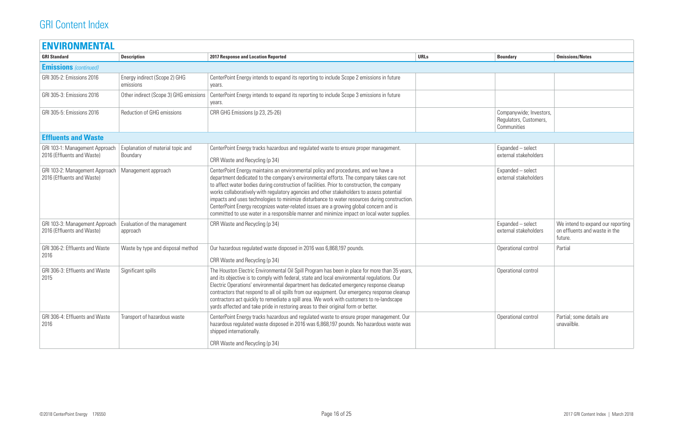| <b>ENVIRONMENTAL</b>                                         |                                               |                                                                                                                                                                                                                                                                                                                                                                                                                                                                                                                                                                                                                                                                      |             |                                                                  |                                                |
|--------------------------------------------------------------|-----------------------------------------------|----------------------------------------------------------------------------------------------------------------------------------------------------------------------------------------------------------------------------------------------------------------------------------------------------------------------------------------------------------------------------------------------------------------------------------------------------------------------------------------------------------------------------------------------------------------------------------------------------------------------------------------------------------------------|-------------|------------------------------------------------------------------|------------------------------------------------|
| <b>GRI Standard</b>                                          | <b>Description</b>                            | <b>2017 Response and Location Reported</b>                                                                                                                                                                                                                                                                                                                                                                                                                                                                                                                                                                                                                           | <b>URLs</b> | <b>Boundary</b>                                                  | <b>Omissions/Notes</b>                         |
| <b>Emissions</b> (continued)                                 |                                               |                                                                                                                                                                                                                                                                                                                                                                                                                                                                                                                                                                                                                                                                      |             |                                                                  |                                                |
| GRI 305-2: Emissions 2016                                    | Energy indirect (Scope 2) GHG<br>emissions    | CenterPoint Energy intends to expand its reporting to include Scope 2 emissions in future<br>years.                                                                                                                                                                                                                                                                                                                                                                                                                                                                                                                                                                  |             |                                                                  |                                                |
| GRI 305-3: Emissions 2016                                    | Other indirect (Scope 3) GHG emissions        | CenterPoint Energy intends to expand its reporting to include Scope 3 emissions in future<br>years.                                                                                                                                                                                                                                                                                                                                                                                                                                                                                                                                                                  |             |                                                                  |                                                |
| GRI 305-5: Emissions 2016                                    | Reduction of GHG emissions                    | CRR GHG Emissions (p 23, 25-26)                                                                                                                                                                                                                                                                                                                                                                                                                                                                                                                                                                                                                                      |             | Companywide; Investors,<br>Regulators, Customers,<br>Communities |                                                |
| <b>Effluents and Waste</b>                                   |                                               |                                                                                                                                                                                                                                                                                                                                                                                                                                                                                                                                                                                                                                                                      |             |                                                                  |                                                |
| GRI 103-1: Management Approach<br>2016 (Effluents and Waste) | Explanation of material topic and<br>Boundary | CenterPoint Energy tracks hazardous and regulated waste to ensure proper management.<br>CRR Waste and Recycling (p 34)                                                                                                                                                                                                                                                                                                                                                                                                                                                                                                                                               |             | Expanded - select<br>external stakeholders                       |                                                |
| GRI 103-2: Management Approach<br>2016 (Effluents and Waste) | Management approach                           | CenterPoint Energy maintains an environmental policy and procedures, and we have a<br>department dedicated to the company's environmental efforts. The company takes care not<br>to affect water bodies during construction of facilities. Prior to construction, the company<br>works collaboratively with regulatory agencies and other stakeholders to assess potential<br>impacts and uses technologies to minimize disturbance to water resources during construction.<br>CenterPoint Energy recognizes water-related issues are a growing global concern and is<br>committed to use water in a responsible manner and minimize impact on local water supplies. |             | Expanded - select<br>external stakeholders                       |                                                |
| GRI 103-3: Management Approach<br>2016 (Effluents and Waste) | Evaluation of the management<br>approach      | CRR Waste and Recycling (p 34)                                                                                                                                                                                                                                                                                                                                                                                                                                                                                                                                                                                                                                       |             | Expanded - select<br>external stakeholders                       | We intend to ex<br>on effluents and<br>future. |
| GRI 306-2: Effluents and Waste<br>2016                       | Waste by type and disposal method             | Our hazardous regulated waste disposed in 2016 was 6,868,197 pounds.<br>CRR Waste and Recycling (p 34)                                                                                                                                                                                                                                                                                                                                                                                                                                                                                                                                                               |             | Operational control                                              | Partial                                        |
| GRI 306-3: Effluents and Waste<br>2015                       | Significant spills                            | The Houston Electric Environmental Oil Spill Program has been in place for more than 35 years,<br>and its objective is to comply with federal, state and local environmental regulations. Our<br>Electric Operations' environmental department has dedicated emergency response cleanup<br>contractors that respond to all oil spills from our equipment. Our emergency response cleanup<br>contractors act quickly to remediate a spill area. We work with customers to re-landscape<br>yards affected and take pride in restoring areas to their original form or better.                                                                                          |             | Operational control                                              |                                                |
| GRI 306-4: Effluents and Waste<br>2016                       | Transport of hazardous waste                  | CenterPoint Energy tracks hazardous and regulated waste to ensure proper management. Our<br>hazardous regulated waste disposed in 2016 was 6,868,197 pounds. No hazardous waste was<br>shipped internationally.                                                                                                                                                                                                                                                                                                                                                                                                                                                      |             | Operational control                                              | Partial; some de<br>unavailble.                |
|                                                              |                                               | CRR Waste and Recycling (p 34)                                                                                                                                                                                                                                                                                                                                                                                                                                                                                                                                                                                                                                       |             |                                                                  |                                                |
|                                                              |                                               |                                                                                                                                                                                                                                                                                                                                                                                                                                                                                                                                                                                                                                                                      |             |                                                                  |                                                |

| <b>Boundary</b>                                                  | <b>Omissions/Notes</b>                                                        |
|------------------------------------------------------------------|-------------------------------------------------------------------------------|
|                                                                  |                                                                               |
|                                                                  |                                                                               |
|                                                                  |                                                                               |
| Companywide; Investors,<br>Regulators, Customers,<br>Communities |                                                                               |
|                                                                  |                                                                               |
| Expanded - select<br>external stakeholders                       |                                                                               |
| Expanded - select<br>external stakeholders                       |                                                                               |
| Expanded - select<br>external stakeholders                       | We intend to expand our reporting<br>on effluents and waste in the<br>future. |
| Operational control                                              | Partial                                                                       |
| Operational control                                              |                                                                               |
| Operational control                                              | Partial; some details are<br>unavailble.                                      |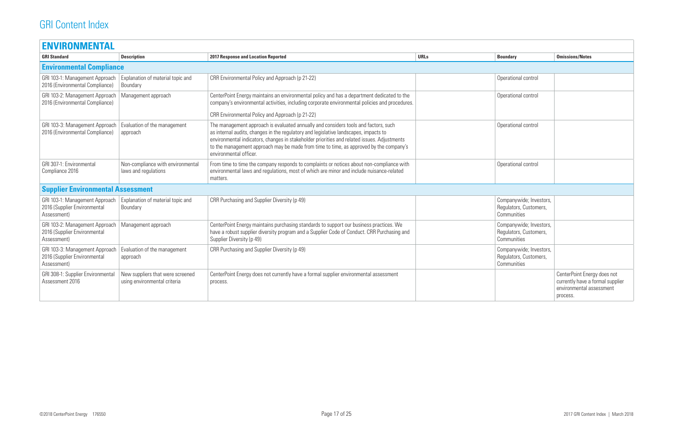| <b>ENVIRONMENTAL</b>                                                          |                                                                  |                                                                                                                                                                                                                                                                                                                                                                                                |             |                                                                  |                                                                    |
|-------------------------------------------------------------------------------|------------------------------------------------------------------|------------------------------------------------------------------------------------------------------------------------------------------------------------------------------------------------------------------------------------------------------------------------------------------------------------------------------------------------------------------------------------------------|-------------|------------------------------------------------------------------|--------------------------------------------------------------------|
| <b>GRI Standard</b>                                                           | <b>Description</b>                                               | <b>2017 Response and Location Reported</b>                                                                                                                                                                                                                                                                                                                                                     | <b>URLs</b> | <b>Boundary</b>                                                  | <b>Omissions/Notes</b>                                             |
| <b>Environmental Compliance</b>                                               |                                                                  |                                                                                                                                                                                                                                                                                                                                                                                                |             |                                                                  |                                                                    |
| GRI 103-1: Management Approach<br>2016 (Environmental Compliance)             | Explanation of material topic and<br>Boundary                    | CRR Environmental Policy and Approach (p 21-22)                                                                                                                                                                                                                                                                                                                                                |             | Operational control                                              |                                                                    |
| GRI 103-2: Management Approach<br>2016 (Environmental Compliance)             | Management approach                                              | CenterPoint Energy maintains an environmental policy and has a department dedicated to the<br>company's environmental activities, including corporate environmental policies and procedures.<br>CRR Environmental Policy and Approach (p 21-22)                                                                                                                                                |             | Operational control                                              |                                                                    |
| GRI 103-3: Management Approach<br>2016 (Environmental Compliance)             | Evaluation of the management<br>approach                         | The management approach is evaluated annually and considers tools and factors, such<br>as internal audits, changes in the regulatory and legislative landscapes, impacts to<br>environmental indicators, changes in stakeholder priorities and related issues. Adjustments<br>to the management approach may be made from time to time, as approved by the company's<br>environmental officer. |             | Operational control                                              |                                                                    |
| GRI 307-1: Environmental<br>Compliance 2016                                   | Non-compliance with environmental<br>laws and regulations        | From time to time the company responds to complaints or notices about non-compliance with<br>environmental laws and regulations, most of which are minor and include nuisance-related<br>matters.                                                                                                                                                                                              |             | Operational control                                              |                                                                    |
| <b>Supplier Environmental Assessment</b>                                      |                                                                  |                                                                                                                                                                                                                                                                                                                                                                                                |             |                                                                  |                                                                    |
| GRI 103-1: Management Approach<br>2016 (Supplier Environmental<br>Assessment) | Explanation of material topic and<br>Boundary                    | CRR Purchasing and Supplier Diversity (p 49)                                                                                                                                                                                                                                                                                                                                                   |             | Companywide; Investors,<br>Regulators, Customers,<br>Communities |                                                                    |
| GRI 103-2: Management Approach<br>2016 (Supplier Environmental<br>Assessment) | Management approach                                              | CenterPoint Energy maintains purchasing standards to support our business practices. We<br>have a robust supplier diversity program and a Supplier Code of Conduct. CRR Purchasing and<br>Supplier Diversity (p 49)                                                                                                                                                                            |             | Companywide; Investors,<br>Regulators, Customers,<br>Communities |                                                                    |
| GRI 103-3: Management Approach<br>2016 (Supplier Environmental<br>Assessment) | Evaluation of the management<br>approach                         | CRR Purchasing and Supplier Diversity (p 49)                                                                                                                                                                                                                                                                                                                                                   |             | Companywide; Investors,<br>Regulators, Customers,<br>Communities |                                                                    |
| GRI 308-1: Supplier Environmental<br>Assessment 2016                          | New suppliers that were screened<br>using environmental criteria | CenterPoint Energy does not currently have a formal supplier environmental assessment<br>process.                                                                                                                                                                                                                                                                                              |             |                                                                  | CenterPoint Ene<br>currently have a<br>environmental a<br>process. |

| <b>Boundary</b>                                                  | <b>Omissions/Notes</b>                                                                                  |
|------------------------------------------------------------------|---------------------------------------------------------------------------------------------------------|
|                                                                  |                                                                                                         |
| Operational control                                              |                                                                                                         |
| Operational control                                              |                                                                                                         |
| Operational control                                              |                                                                                                         |
| Operational control                                              |                                                                                                         |
|                                                                  |                                                                                                         |
| Companywide; Investors,<br>Regulators, Customers,<br>Communities |                                                                                                         |
| Companywide; Investors,<br>Regulators, Customers,<br>Communities |                                                                                                         |
| Companywide; Investors,<br>Regulators, Customers,<br>Communities |                                                                                                         |
|                                                                  | CenterPoint Energy does not<br>currently have a formal supplier<br>environmental assessment<br>process. |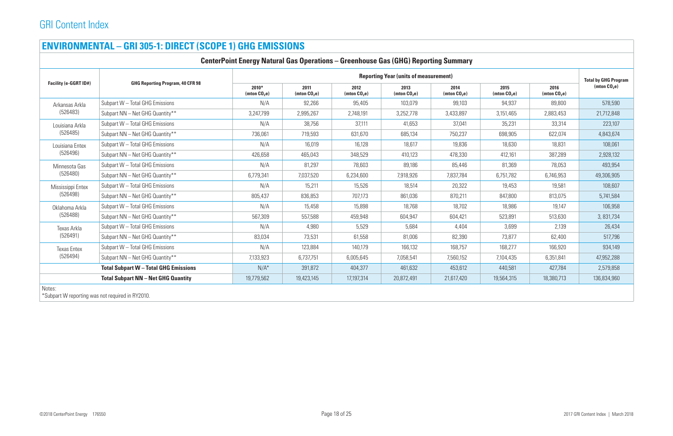## **ENVIRONMENTAL – GRI 305‑1: DIRECT (SCOPE 1) GHG EMISSIONS**

|                                                                                                                                                   | <b>CenterPoint Energy Natural Gas Operations - Greenhouse Gas (GHG) Reporting Summary</b> |                           |                        |                        |                        |                        |                        |                        |                                               |  |  |  |
|---------------------------------------------------------------------------------------------------------------------------------------------------|-------------------------------------------------------------------------------------------|---------------------------|------------------------|------------------------|------------------------|------------------------|------------------------|------------------------|-----------------------------------------------|--|--|--|
|                                                                                                                                                   | <b>Reporting Year (units of measurement)</b>                                              |                           |                        |                        |                        |                        |                        |                        |                                               |  |  |  |
|                                                                                                                                                   | <b>GHG Reporting Program, 40 CFR 98</b>                                                   | $2010*$<br>(mton $CO2e$ ) | 2011<br>(mton $CO2e$ ) | 2012<br>(mton $CO2e$ ) | 2013<br>(mton $CO2e$ ) | 2014<br>(mton $CO2e$ ) | 2015<br>(mton $CO2e$ ) | 2016<br>(mton $CO2e$ ) | <b>Total by GHG Program</b><br>(mton $CO2e$ ) |  |  |  |
| Arkansas Arkla                                                                                                                                    | Subpart W - Total GHG Emissions                                                           | N/A                       | 92,266                 | 95,405                 | 103,079                | 99,103                 | 94,937                 | 89,800                 | 578,590                                       |  |  |  |
| (526483)                                                                                                                                          | Subpart NN - Net GHG Quantity**                                                           | 3,247,799                 | 2,995,267              | 2,748,191              | 3,252,778              | 3,433,897              | 3,151,465              | 2,883,453              | 21,712,848                                    |  |  |  |
| Louisiana Arkla<br>(526485)                                                                                                                       | Subpart W - Total GHG Emissions                                                           | N/A                       | 38,756                 | 37,111                 | 41,653                 | 37,041                 | 35,231                 | 33,314                 | 223,107                                       |  |  |  |
|                                                                                                                                                   | Subpart NN - Net GHG Quantity**                                                           | 736,061                   | 719,593                | 631,670                | 685,134                | 750,237                | 698,905                | 622,074                | 4,843,674                                     |  |  |  |
| Louisiana Entex                                                                                                                                   | Subpart W - Total GHG Emissions                                                           | N/A                       | 16,019                 | 16,128                 | 18,617                 | 19,836                 | 18,630                 | 18,831                 | 108,061                                       |  |  |  |
| (526496)                                                                                                                                          | Subpart NN - Net GHG Quantity**                                                           | 426,658                   | 465,043                | 348,529                | 410,123                | 478,330                | 412,161                | 387,289                | 2,928,132                                     |  |  |  |
| Minnesota Gas                                                                                                                                     | Subpart W - Total GHG Emissions                                                           | N/A                       | 81,297                 | 78,603                 | 89,186                 | 85,446                 | 81,369                 | 78,053                 | 493,954                                       |  |  |  |
| (526480)                                                                                                                                          | Subpart NN - Net GHG Quantity**                                                           | 6,779,341                 | 7,037,520              | 6,234,600              | 7,918,926              | 7,837,784              | 6,751,782              | 6,746,953              | 49,306,905                                    |  |  |  |
|                                                                                                                                                   | Subpart W - Total GHG Emissions                                                           | N/A                       | 15,211                 | 15,526                 | 18,514                 | 20,322                 | 19,453                 | 19,581                 | 108,607                                       |  |  |  |
| Facility (e-GGRT ID#)<br>Mississippi Entex<br>(526498)<br>Oklahoma Arkla<br>(526488)<br>Texas Arkla<br>(526491)<br><b>Texas Entex</b><br>(526494) | Subpart NN - Net GHG Quantity**                                                           | 805,437                   | 836,853                | 707,173                | 861,036                | 870,211                | 847,800                | 813,075                | 5,741,584                                     |  |  |  |
|                                                                                                                                                   | Subpart W - Total GHG Emissions                                                           | N/A                       | 15,458                 | 15,898                 | 18,768                 | 18,702                 | 18,986                 | 19,147                 | 106,958                                       |  |  |  |
| Notes:<br>$\mathbf{A} \mathbf{A}$                                                                                                                 | Subpart NN - Net GHG Quantity**                                                           | 567,309                   | 557,588                | 459,948                | 604,947                | 604,421                | 523,891                | 513,630                | 3,831,734                                     |  |  |  |
|                                                                                                                                                   | Subpart W - Total GHG Emissions                                                           | N/A                       | 4,980                  | 5,529                  | 5,684                  | 4,404                  | 3,699                  | 2,139                  | 26,434                                        |  |  |  |
|                                                                                                                                                   | Subpart NN - Net GHG Quantity**                                                           | 83,034                    | 73,531                 | 61,558                 | 81,006                 | 82,390                 | 73,877                 | 62,400                 | 517,796                                       |  |  |  |
|                                                                                                                                                   | Subpart W - Total GHG Emissions                                                           | N/A                       | 123,884                | 140,179                | 166,132                | 168,757                | 168,277                | 166,920                | 934,149                                       |  |  |  |
|                                                                                                                                                   | Subpart NN - Net GHG Quantity**                                                           | 7,133,923                 | 6,737,751              | 6,005,645              | 7,058,541              | 7,560,152              | 7,104,435              | 6,351,841              | 47,952,288                                    |  |  |  |
|                                                                                                                                                   | <b>Total Subpart W - Total GHG Emissions</b>                                              | $N/A^*$                   | 391,872                | 404,377                | 461,632                | 453,612                | 440,581                | 427,784                | 2,579,858                                     |  |  |  |
|                                                                                                                                                   | <b>Total Subpart NN - Net GHG Quantity</b>                                                | 19,779,562                | 19,423,145             | 17,197,314             | 20,872,491             | 21,617,420             | 19,564,315             | 18,380,713             | 136,834,960                                   |  |  |  |
|                                                                                                                                                   |                                                                                           |                           |                        |                        |                        |                        |                        |                        |                                               |  |  |  |

\*Subpart W reporting was not required in RY2010.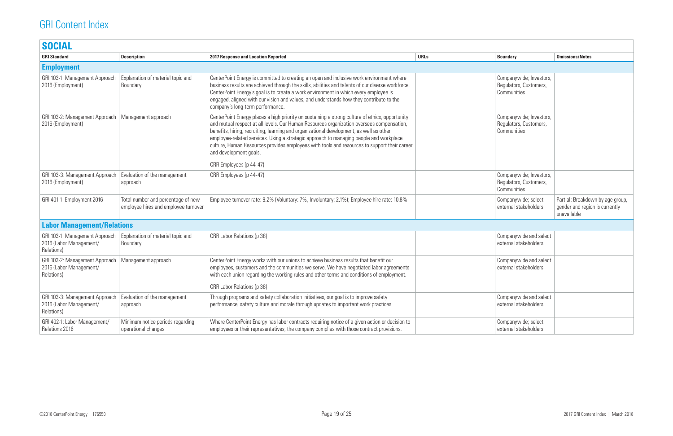| <b>Boundary</b>                                                  | <b>Omissions/Notes</b>                                                            |
|------------------------------------------------------------------|-----------------------------------------------------------------------------------|
|                                                                  |                                                                                   |
| Companywide; Investors,<br>Regulators, Customers,<br>Communities |                                                                                   |
| Companywide; Investors,<br>Regulators, Customers,<br>Communities |                                                                                   |
| Companywide; Investors,<br>Regulators, Customers,<br>Communities |                                                                                   |
| Companywide; select<br>external stakeholders                     | Partial: Breakdown by age group,<br>gender and region is currently<br>unavailable |
|                                                                  |                                                                                   |
| Companywide and select<br>external stakeholders                  |                                                                                   |
| Companywide and select<br>external stakeholders                  |                                                                                   |
| Companywide and select<br>external stakeholders                  |                                                                                   |
| Companywide; select<br>external stakeholders                     |                                                                                   |

| <b>SOCIAL</b>                                                           |                                                                            |                                                                                                                                                                                                                                                                                                                                                                                                                                                                                                                                        |             |                                                                  |                                                     |
|-------------------------------------------------------------------------|----------------------------------------------------------------------------|----------------------------------------------------------------------------------------------------------------------------------------------------------------------------------------------------------------------------------------------------------------------------------------------------------------------------------------------------------------------------------------------------------------------------------------------------------------------------------------------------------------------------------------|-------------|------------------------------------------------------------------|-----------------------------------------------------|
| <b>GRI Standard</b>                                                     | <b>Description</b>                                                         | <b>2017 Response and Location Reported</b>                                                                                                                                                                                                                                                                                                                                                                                                                                                                                             | <b>URLs</b> | <b>Boundary</b>                                                  | <b>Omissions/Notes</b>                              |
| <b>Employment</b>                                                       |                                                                            |                                                                                                                                                                                                                                                                                                                                                                                                                                                                                                                                        |             |                                                                  |                                                     |
| GRI 103-1: Management Approach<br>2016 (Employment)                     | Explanation of material topic and<br>Boundary                              | CenterPoint Energy is committed to creating an open and inclusive work environment where<br>business results are achieved through the skills, abilities and talents of our diverse workforce.<br>CenterPoint Energy's goal is to create a work environment in which every employee is<br>engaged, aligned with our vision and values, and understands how they contribute to the<br>company's long-term performance.                                                                                                                   |             | Companywide; Investors,<br>Regulators, Customers,<br>Communities |                                                     |
| GRI 103-2: Management Approach<br>2016 (Employment)                     | Management approach                                                        | CenterPoint Energy places a high priority on sustaining a strong culture of ethics, opportunity<br>and mutual respect at all levels. Our Human Resources organization oversees compensation,<br>benefits, hiring, recruiting, learning and organizational development, as well as other<br>employee-related services. Using a strategic approach to managing people and workplace<br>culture, Human Resources provides employees with tools and resources to support their career<br>and development goals.<br>CRR Employees (p 44-47) |             | Companywide; Investors,<br>Regulators, Customers,<br>Communities |                                                     |
| GRI 103-3: Management Approach<br>2016 (Employment)                     | Evaluation of the management<br>approach                                   | CRR Employees (p 44-47)                                                                                                                                                                                                                                                                                                                                                                                                                                                                                                                |             | Companywide; Investors,<br>Regulators, Customers,<br>Communities |                                                     |
| GRI 401-1: Employment 2016                                              | Total number and percentage of new<br>employee hires and employee turnover | Employee turnover rate: 9.2% (Voluntary: 7%, Involuntary: 2.1%); Employee hire rate: 10.8%                                                                                                                                                                                                                                                                                                                                                                                                                                             |             | Companywide; select<br>external stakeholders                     | Partial: Breakdo<br>gender and regio<br>unavailable |
| <b>Labor Management/Relations</b>                                       |                                                                            |                                                                                                                                                                                                                                                                                                                                                                                                                                                                                                                                        |             |                                                                  |                                                     |
| GRI 103-1: Management Approach<br>2016 (Labor Management/<br>Relations) | Explanation of material topic and<br>Boundary                              | CRR Labor Relations (p 38)                                                                                                                                                                                                                                                                                                                                                                                                                                                                                                             |             | Companywide and select<br>external stakeholders                  |                                                     |
| GRI 103-2: Management Approach<br>2016 (Labor Management/<br>Relations) | Management approach                                                        | CenterPoint Energy works with our unions to achieve business results that benefit our<br>employees, customers and the communities we serve. We have negotiated labor agreements<br>with each union regarding the working rules and other terms and conditions of employment.<br>CRR Labor Relations (p 38)                                                                                                                                                                                                                             |             | Companywide and select<br>external stakeholders                  |                                                     |
| GRI 103-3: Management Approach<br>2016 (Labor Management/<br>Relations) | Evaluation of the management<br>approach                                   | Through programs and safety collaboration initiatives, our goal is to improve safety<br>performance, safety culture and morale through updates to important work practices.                                                                                                                                                                                                                                                                                                                                                            |             | Companywide and select<br>external stakeholders                  |                                                     |
| GRI 402-1: Labor Management/<br>Relations 2016                          | Minimum notice periods regarding<br>operational changes                    | Where CenterPoint Energy has labor contracts requiring notice of a given action or decision to<br>employees or their representatives, the company complies with those contract provisions.                                                                                                                                                                                                                                                                                                                                             |             | Companywide; select<br>external stakeholders                     |                                                     |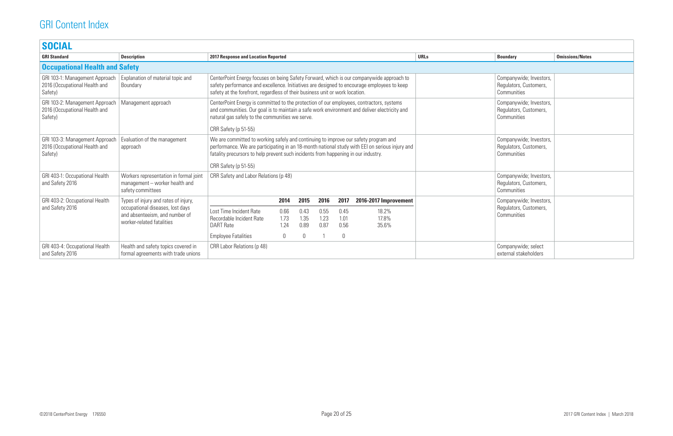| <b>SOCIAL</b>                                                              |                                                                                                 |                                                                                                                                                                                                                                                                        |                                                                                                                                                                                                                                                                             |                                  |                      |                                     |                         |             |                                                                  |                        |
|----------------------------------------------------------------------------|-------------------------------------------------------------------------------------------------|------------------------------------------------------------------------------------------------------------------------------------------------------------------------------------------------------------------------------------------------------------------------|-----------------------------------------------------------------------------------------------------------------------------------------------------------------------------------------------------------------------------------------------------------------------------|----------------------------------|----------------------|-------------------------------------|-------------------------|-------------|------------------------------------------------------------------|------------------------|
| <b>GRI Standard</b>                                                        | <b>Description</b>                                                                              | <b>2017 Response and Location Reported</b>                                                                                                                                                                                                                             |                                                                                                                                                                                                                                                                             |                                  |                      |                                     |                         | <b>URLs</b> | <b>Boundary</b>                                                  | <b>Omissions/Notes</b> |
| <b>Occupational Health and Safety</b>                                      |                                                                                                 |                                                                                                                                                                                                                                                                        |                                                                                                                                                                                                                                                                             |                                  |                      |                                     |                         |             |                                                                  |                        |
| GRI 103-1: Management Approach<br>2016 (Occupational Health and<br>Safety) | Explanation of material topic and<br>Boundary                                                   | CenterPoint Energy focuses on being Safety Forward, which is our companywide approach to<br>safety performance and excellence. Initiatives are designed to encourage employees to keep<br>safety at the forefront, regardless of their business unit or work location. |                                                                                                                                                                                                                                                                             |                                  |                      |                                     |                         |             | Companywide; Investors,<br>Regulators, Customers,<br>Communities |                        |
| GRI 103-2: Management Approach<br>2016 (Occupational Health and<br>Safety) | Management approach                                                                             | CRR Safety (p 51-55)                                                                                                                                                                                                                                                   | CenterPoint Energy is committed to the protection of our employees, contractors, systems<br>and communities. Our goal is to maintain a safe work environment and deliver electricity and<br>natural gas safely to the communities we serve.                                 |                                  |                      |                                     |                         |             | Companywide; Investors,<br>Regulators, Customers,<br>Communities |                        |
| GRI 103-3: Management Approach<br>2016 (Occupational Health and<br>Safety) | Evaluation of the management<br>approach                                                        | CRR Safety (p 51-55)                                                                                                                                                                                                                                                   | We are committed to working safely and continuing to improve our safety program and<br>performance. We are participating in an 18-month national study with EEI on serious injury and<br>fatality precursors to help prevent such incidents from happening in our industry. |                                  |                      |                                     |                         |             | Companywide; Investors,<br>Regulators, Customers,<br>Communities |                        |
| GRI 403-1: Occupational Health<br>and Safety 2016                          | Workers representation in formal joint<br>management - worker health and<br>safety committees   | CRR Safety and Labor Relations (p 48)                                                                                                                                                                                                                                  |                                                                                                                                                                                                                                                                             |                                  |                      |                                     |                         |             | Companywide; Investors,<br>Regulators, Customers,<br>Communities |                        |
| GRI 403-2: Occupational Health                                             | Types of injury and rates of injury,                                                            |                                                                                                                                                                                                                                                                        | 2014                                                                                                                                                                                                                                                                        | 2015                             | 2016                 | 2017                                | 2016-2017 Improvement   |             | Companywide; Investors,                                          |                        |
| and Safety 2016                                                            | occupational diseases, lost days<br>and absenteeism, and number of<br>worker-related fatalities | Lost Time Incident Rate<br>Recordable Incident Rate<br><b>DART Rate</b><br><b>Employee Fatalities</b>                                                                                                                                                                  | 0.66<br>1.73<br>1.24<br>$\mathbf 0$                                                                                                                                                                                                                                         | 0.43<br>1.35<br>0.89<br>$\Omega$ | 0.55<br>1.23<br>0.87 | 0.45<br>1.01<br>0.56<br>$\mathbf 0$ | 18.2%<br>17.8%<br>35.6% |             | Regulators, Customers,<br>Communities                            |                        |
| GRI 403-4: Occupational Health<br>and Safety 2016                          | Health and safety topics covered in<br>formal agreements with trade unions                      | CRR Labor Relations (p 48)                                                                                                                                                                                                                                             |                                                                                                                                                                                                                                                                             |                                  |                      |                                     |                         |             | Companywide; select<br>external stakeholders                     |                        |

| <b>Boundary</b>                                                  | <b>Omissions/Notes</b> |
|------------------------------------------------------------------|------------------------|
|                                                                  |                        |
| Companywide; Investors,<br>Regulators, Customers,<br>Communities |                        |
| Companywide; Investors,<br>Regulators, Customers,<br>Communities |                        |
| Companywide; Investors,<br>Regulators, Customers,<br>Communities |                        |
| Companywide; Investors,<br>Regulators, Customers,<br>Communities |                        |
| Companywide; Investors,<br>Regulators, Customers,<br>Communities |                        |
| Companywide; select<br>external stakeholders                     |                        |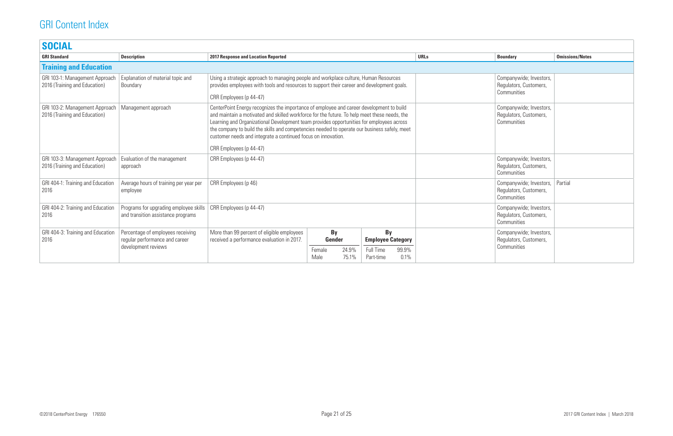| <b>SOCIAL</b>                                                   |                                                                                            |                                                                                                                                                                                                                                                                                                                                                                                                                                                                                  |                                       |                |                                                                 |                                                                  |                                                                  |                                                                  |                        |
|-----------------------------------------------------------------|--------------------------------------------------------------------------------------------|----------------------------------------------------------------------------------------------------------------------------------------------------------------------------------------------------------------------------------------------------------------------------------------------------------------------------------------------------------------------------------------------------------------------------------------------------------------------------------|---------------------------------------|----------------|-----------------------------------------------------------------|------------------------------------------------------------------|------------------------------------------------------------------|------------------------------------------------------------------|------------------------|
| <b>GRI Standard</b>                                             | <b>Description</b>                                                                         | <b>2017 Response and Location Reported</b>                                                                                                                                                                                                                                                                                                                                                                                                                                       |                                       |                |                                                                 |                                                                  | <b>URLs</b>                                                      | <b>Boundary</b>                                                  | <b>Omissions/Notes</b> |
| <b>Training and Education</b>                                   |                                                                                            |                                                                                                                                                                                                                                                                                                                                                                                                                                                                                  |                                       |                |                                                                 |                                                                  |                                                                  |                                                                  |                        |
| GRI 103-1: Management Approach<br>2016 (Training and Education) | Explanation of material topic and<br>Boundary                                              | Using a strategic approach to managing people and workplace culture, Human Resources<br>provides employees with tools and resources to support their career and development goals.<br>CRR Employees (p 44-47)                                                                                                                                                                                                                                                                    |                                       |                |                                                                 |                                                                  | Companywide; Investors,<br>Regulators, Customers,<br>Communities |                                                                  |                        |
| GRI 103-2: Management Approach<br>2016 (Training and Education) | Management approach                                                                        | CenterPoint Energy recognizes the importance of employee and career development to build<br>and maintain a motivated and skilled workforce for the future. To help meet these needs, the<br>Learning and Organizational Development team provides opportunities for employees across<br>the company to build the skills and competencies needed to operate our business safely, meet<br>customer needs and integrate a continued focus on innovation.<br>CRR Employees (p 44-47) |                                       |                |                                                                 | Companywide; Investors,<br>Regulators, Customers,<br>Communities |                                                                  |                                                                  |                        |
| GRI 103-3: Management Approach<br>2016 (Training and Education) | Evaluation of the management<br>approach                                                   | CRR Employees (p 44-47)                                                                                                                                                                                                                                                                                                                                                                                                                                                          |                                       |                |                                                                 |                                                                  |                                                                  | Companywide; Investors,<br>Regulators, Customers,<br>Communities |                        |
| GRI 404-1: Training and Education<br>2016                       | Average hours of training per year per<br>employee                                         | CRR Employees (p 46)                                                                                                                                                                                                                                                                                                                                                                                                                                                             |                                       |                |                                                                 |                                                                  | Companywide; Investors,<br>Regulators, Customers,<br>Communities | Partial                                                          |                        |
| GRI 404-2: Training and Education<br>2016                       | Programs for upgrading employee skills<br>and transition assistance programs               | CRR Employees (p 44-47)                                                                                                                                                                                                                                                                                                                                                                                                                                                          |                                       |                |                                                                 |                                                                  | Companywide; Investors,<br>Regulators, Customers,<br>Communities |                                                                  |                        |
| GRI 404-3: Training and Education<br>2016                       | Percentage of employees receiving<br>regular performance and career<br>development reviews | More than 99 percent of eligible employees<br>received a performance evaluation in 2017.                                                                                                                                                                                                                                                                                                                                                                                         | By<br><b>Gender</b><br>Female<br>Male | 24.9%<br>75.1% | <b>By</b><br><b>Employee Category</b><br>Full Time<br>Part-time | 99.9%<br>0.1%                                                    |                                                                  | Companywide; Investors,<br>Regulators, Customers,<br>Communities |                        |

| <b>Boundary</b>                                                  | <b>Omissions/Notes</b> |
|------------------------------------------------------------------|------------------------|
|                                                                  |                        |
| Companywide; Investors,<br>Regulators, Customers,<br>Communities |                        |
| Companywide; Investors,<br>Regulators, Customers,<br>Communities |                        |
| Companywide; Investors,<br>Regulators, Customers,<br>Communities |                        |
| Companywide; Investors,<br>Regulators, Customers,<br>Communities | Partial                |
| Companywide; Investors,<br>Regulators, Customers,<br>Communities |                        |
| Companywide; Investors,<br>Regulators, Customers,<br>Communities |                        |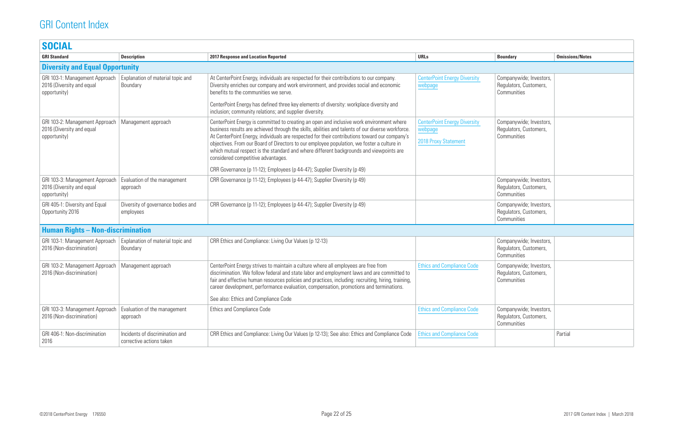| <b>Boundary</b>                                                  | <b>Omissions/Notes</b> |
|------------------------------------------------------------------|------------------------|
|                                                                  |                        |
| Companywide; Investors,<br>Regulators, Customers,<br>Communities |                        |
| Companywide; Investors,<br>Regulators, Customers,<br>Communities |                        |
| Companywide; Investors,<br>Regulators, Customers,<br>Communities |                        |
| Companywide; Investors,<br>Regulators, Customers,<br>Communities |                        |
|                                                                  |                        |
| Companywide; Investors,<br>Regulators, Customers,<br>Communities |                        |
| Companywide; Investors,<br>Regulators, Customers,<br>Communities |                        |
| Companywide; Investors,<br>Regulators, Customers,<br>Communities |                        |
|                                                                  | Partial                |

| <b>SOCIAL</b>                                                               |                                                             |                                                                                                                                                                                                                                                                                                                                                                                                                                                                                                                               |                                                                        |                                                                  |                        |
|-----------------------------------------------------------------------------|-------------------------------------------------------------|-------------------------------------------------------------------------------------------------------------------------------------------------------------------------------------------------------------------------------------------------------------------------------------------------------------------------------------------------------------------------------------------------------------------------------------------------------------------------------------------------------------------------------|------------------------------------------------------------------------|------------------------------------------------------------------|------------------------|
| <b>GRI Standard</b>                                                         | <b>Description</b>                                          | <b>2017 Response and Location Reported</b>                                                                                                                                                                                                                                                                                                                                                                                                                                                                                    | <b>URLs</b>                                                            | <b>Boundary</b>                                                  | <b>Omissions/Notes</b> |
| <b>Diversity and Equal Opportunity</b>                                      |                                                             |                                                                                                                                                                                                                                                                                                                                                                                                                                                                                                                               |                                                                        |                                                                  |                        |
| GRI 103-1: Management Approach<br>2016 (Diversity and equal<br>opportunity) | Explanation of material topic and<br>Boundary               | At CenterPoint Energy, individuals are respected for their contributions to our company.<br>Diversity enriches our company and work environment, and provides social and economic<br>benefits to the communities we serve.                                                                                                                                                                                                                                                                                                    | <b>CenterPoint Energy Diversity</b><br>webpage                         | Companywide; Investors,<br>Regulators, Customers,<br>Communities |                        |
|                                                                             |                                                             | CenterPoint Energy has defined three key elements of diversity: workplace diversity and<br>inclusion; community relations; and supplier diversity.                                                                                                                                                                                                                                                                                                                                                                            |                                                                        |                                                                  |                        |
| GRI 103-2: Management Approach<br>2016 (Diversity and equal<br>opportunity) | Management approach                                         | CenterPoint Energy is committed to creating an open and inclusive work environment where<br>business results are achieved through the skills, abilities and talents of our diverse workforce.<br>At CenterPoint Energy, individuals are respected for their contributions toward our company's<br>objectives. From our Board of Directors to our employee population, we foster a culture in<br>which mutual respect is the standard and where different backgrounds and viewpoints are<br>considered competitive advantages. | <b>CenterPoint Energy Diversity</b><br>webpage<br>2018 Proxy Statement | Companywide; Investors,<br>Regulators, Customers,<br>Communities |                        |
|                                                                             |                                                             | CRR Governance (p 11-12); Employees (p 44-47); Supplier Diversity (p 49)                                                                                                                                                                                                                                                                                                                                                                                                                                                      |                                                                        |                                                                  |                        |
| GRI 103-3: Management Approach<br>2016 (Diversity and equal<br>opportunity) | Evaluation of the management<br>approach                    | CRR Governance (p 11-12); Employees (p 44-47); Supplier Diversity (p 49)                                                                                                                                                                                                                                                                                                                                                                                                                                                      |                                                                        | Companywide; Investors,<br>Regulators, Customers,<br>Communities |                        |
| GRI 405-1: Diversity and Equal<br>Opportunity 2016                          | Diversity of governance bodies and<br>employees             | CRR Governance (p 11-12); Employees (p 44-47); Supplier Diversity (p 49)                                                                                                                                                                                                                                                                                                                                                                                                                                                      |                                                                        | Companywide; Investors,<br>Regulators, Customers,<br>Communities |                        |
| <b>Human Rights - Non-discrimination</b>                                    |                                                             |                                                                                                                                                                                                                                                                                                                                                                                                                                                                                                                               |                                                                        |                                                                  |                        |
| GRI 103-1: Management Approach<br>2016 (Non-discrimination)                 | Explanation of material topic and<br>Boundary               | CRR Ethics and Compliance: Living Our Values (p 12-13)                                                                                                                                                                                                                                                                                                                                                                                                                                                                        |                                                                        | Companywide; Investors,<br>Regulators, Customers,<br>Communities |                        |
| GRI 103-2: Management Approach<br>2016 (Non-discrimination)                 | Management approach                                         | CenterPoint Energy strives to maintain a culture where all employees are free from<br>discrimination. We follow federal and state labor and employment laws and are committed to<br>fair and effective human resources policies and practices, including: recruiting, hiring, training,<br>career development, performance evaluation, compensation, promotions and terminations.<br>See also: Ethics and Compliance Code                                                                                                     | <b>Ethics and Compliance Code</b>                                      | Companywide; Investors,<br>Regulators, Customers,<br>Communities |                        |
| GRI 103-3: Management Approach                                              | Evaluation of the management                                | <b>Ethics and Compliance Code</b>                                                                                                                                                                                                                                                                                                                                                                                                                                                                                             | <b>Ethics and Compliance Code</b>                                      | Companywide; Investors,                                          |                        |
| 2016 (Non-discrimination)                                                   | approach                                                    |                                                                                                                                                                                                                                                                                                                                                                                                                                                                                                                               |                                                                        | Regulators, Customers,<br>Communities                            |                        |
| GRI 406-1: Non-discrimination<br>2016                                       | Incidents of discrimination and<br>corrective actions taken | CRR Ethics and Compliance: Living Our Values (p 12-13); See also: Ethics and Compliance Code                                                                                                                                                                                                                                                                                                                                                                                                                                  | <b>Ethics and Compliance Code</b>                                      |                                                                  | Partial                |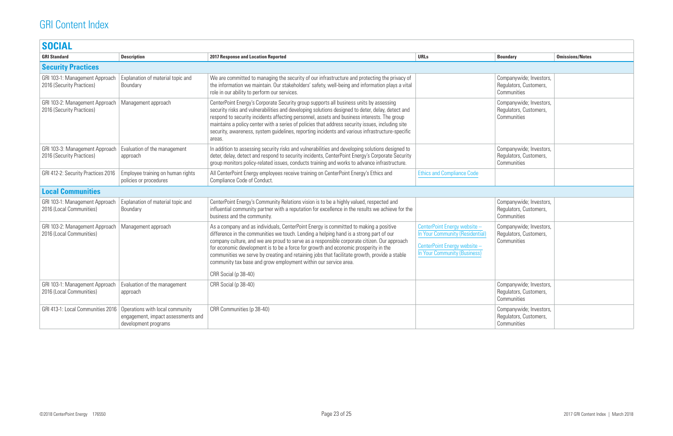| <b>SOCIAL</b>                                                       |                                                             |                                                                                                                                                                                                                                                                                                                                                                                                                                                                                                                                          |                                                                                                                                               |                                                                  |                        |
|---------------------------------------------------------------------|-------------------------------------------------------------|------------------------------------------------------------------------------------------------------------------------------------------------------------------------------------------------------------------------------------------------------------------------------------------------------------------------------------------------------------------------------------------------------------------------------------------------------------------------------------------------------------------------------------------|-----------------------------------------------------------------------------------------------------------------------------------------------|------------------------------------------------------------------|------------------------|
| <b>GRI Standard</b>                                                 | <b>Description</b>                                          | <b>2017 Response and Location Reported</b>                                                                                                                                                                                                                                                                                                                                                                                                                                                                                               | <b>URLs</b>                                                                                                                                   | <b>Boundary</b>                                                  | <b>Omissions/Notes</b> |
| <b>Security Practices</b>                                           |                                                             |                                                                                                                                                                                                                                                                                                                                                                                                                                                                                                                                          |                                                                                                                                               |                                                                  |                        |
| GRI 103-1: Management Approach<br>2016 (Security Practices)         | Explanation of material topic and<br>Boundary               | We are committed to managing the security of our infrastructure and protecting the privacy of<br>the information we maintain. Our stakeholders' safety, well-being and information plays a vital<br>role in our ability to perform our services.                                                                                                                                                                                                                                                                                         |                                                                                                                                               | Companywide; Investors,<br>Regulators, Customers,<br>Communities |                        |
| GRI 103-2: Management Approach<br>2016 (Security Practices)         | Management approach                                         | CenterPoint Energy's Corporate Security group supports all business units by assessing<br>security risks and vulnerabilities and developing solutions designed to deter, delay, detect and<br>respond to security incidents affecting personnel, assets and business interests. The group<br>maintains a policy center with a series of policies that address security issues, including site<br>security, awareness, system guidelines, reporting incidents and various infrastructure-specific<br>areas.                               |                                                                                                                                               | Companywide; Investors,<br>Regulators, Customers,<br>Communities |                        |
| GRI 103-3: Management Approach<br>2016 (Security Practices)         | Evaluation of the management<br>approach                    | In addition to assessing security risks and vulnerabilities and developing solutions designed to<br>deter, delay, detect and respond to security incidents, CenterPoint Energy's Corporate Security<br>group monitors policy-related issues, conducts training and works to advance infrastructure.                                                                                                                                                                                                                                      |                                                                                                                                               | Companywide; Investors,<br>Regulators, Customers,<br>Communities |                        |
| GRI 412-2: Security Practices 2016                                  | Employee training on human rights<br>policies or procedures | All CenterPoint Energy employees receive training on CenterPoint Energy's Ethics and<br>Compliance Code of Conduct.                                                                                                                                                                                                                                                                                                                                                                                                                      | <b>Ethics and Compliance Code</b>                                                                                                             |                                                                  |                        |
| <b>Local Communities</b>                                            |                                                             |                                                                                                                                                                                                                                                                                                                                                                                                                                                                                                                                          |                                                                                                                                               |                                                                  |                        |
| GRI 103-1: Management Approach<br>2016 (Local Communities)          | Explanation of material topic and<br>Boundary               | CenterPoint Energy's Community Relations vision is to be a highly valued, respected and<br>influential community partner with a reputation for excellence in the results we achieve for the<br>business and the community.                                                                                                                                                                                                                                                                                                               |                                                                                                                                               | Companywide; Investors,<br>Regulators, Customers,<br>Communities |                        |
| GRI 103-2: Management Approach<br>2016 (Local Communities)          | Management approach                                         | As a company and as individuals, CenterPoint Energy is committed to making a positive<br>difference in the communities we touch. Lending a helping hand is a strong part of our<br>company culture, and we are proud to serve as a responsible corporate citizen. Our approach<br>for economic development is to be a force for growth and economic prosperity in the<br>communities we serve by creating and retaining jobs that facilitate growth, provide a stable<br>community tax base and grow employment within our service area. | CenterPoint Energy website -<br><b>In Your Community (Residential)</b><br>CenterPoint Energy website -<br><b>In Your Community (Business)</b> | Companywide; Investors,<br>Regulators, Customers,<br>Communities |                        |
|                                                                     |                                                             | CRR Social (p 38-40)                                                                                                                                                                                                                                                                                                                                                                                                                                                                                                                     |                                                                                                                                               |                                                                  |                        |
| GRI 103-1: Management Approach<br>2016 (Local Communities)          | Evaluation of the management<br>approach                    | CRR Social (p 38-40)                                                                                                                                                                                                                                                                                                                                                                                                                                                                                                                     |                                                                                                                                               | Companywide; Investors,<br>Regulators, Customers,<br>Communities |                        |
| GRI 413-1: Local Communities 2016   Operations with local community | engagement, impact assessments and<br>development programs  | CRR Communities (p 38-40)                                                                                                                                                                                                                                                                                                                                                                                                                                                                                                                |                                                                                                                                               | Companywide; Investors,<br>Regulators, Customers,<br>Communities |                        |

| <b>Boundary</b>                                                  | <b>Omissions/Notes</b> |
|------------------------------------------------------------------|------------------------|
|                                                                  |                        |
| Companywide; Investors,<br>Regulators, Customers,<br>Communities |                        |
| Companywide; Investors,<br>Regulators, Customers,<br>Communities |                        |
| Companywide; Investors,<br>Regulators, Customers,<br>Communities |                        |
|                                                                  |                        |
|                                                                  |                        |
| Companywide; Investors,<br>Regulators, Customers,<br>Communities |                        |
| Companywide; Investors,<br>Regulators, Customers,<br>Communities |                        |
| Companywide; Investors,<br>Regulators, Customers,<br>Communities |                        |
| Companywide; Investors,<br>Regulators, Customers,<br>Communities |                        |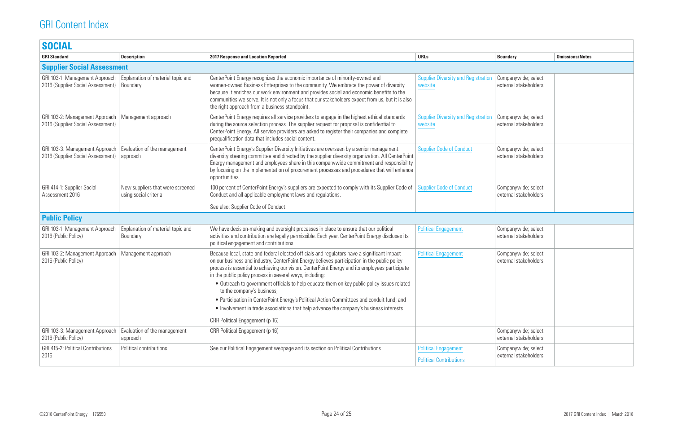| <b>SOCIAL</b>                                                       |                                                           |                                                                                                                                                                                                                                                                                                                                                                                                                                                                                                                                                                                                                                                                                                                   |                                                               |                                              |                        |
|---------------------------------------------------------------------|-----------------------------------------------------------|-------------------------------------------------------------------------------------------------------------------------------------------------------------------------------------------------------------------------------------------------------------------------------------------------------------------------------------------------------------------------------------------------------------------------------------------------------------------------------------------------------------------------------------------------------------------------------------------------------------------------------------------------------------------------------------------------------------------|---------------------------------------------------------------|----------------------------------------------|------------------------|
| <b>GRI Standard</b>                                                 | <b>Description</b>                                        | <b>2017 Response and Location Reported</b>                                                                                                                                                                                                                                                                                                                                                                                                                                                                                                                                                                                                                                                                        | <b>URLs</b>                                                   | <b>Boundary</b>                              | <b>Omissions/Notes</b> |
| <b>Supplier Social Assessment</b>                                   |                                                           |                                                                                                                                                                                                                                                                                                                                                                                                                                                                                                                                                                                                                                                                                                                   |                                                               |                                              |                        |
| GRI 103-1: Management Approach<br>2016 (Supplier Social Assessment) | Explanation of material topic and<br>Boundary             | CenterPoint Energy recognizes the economic importance of minority-owned and<br>women-owned Business Enterprises to the community. We embrace the power of diversity<br>because it enriches our work environment and provides social and economic benefits to the<br>communities we serve. It is not only a focus that our stakeholders expect from us, but it is also<br>the right approach from a business standpoint.                                                                                                                                                                                                                                                                                           | <b>Supplier Diversity and Registration</b><br>website         | Companywide; select<br>external stakeholders |                        |
| GRI 103-2: Management Approach<br>2016 (Supplier Social Assessment) | Management approach                                       | CenterPoint Energy requires all service providers to engage in the highest ethical standards<br>during the source selection process. The supplier request for proposal is confidential to<br>CenterPoint Energy. All service providers are asked to register their companies and complete<br>prequalification data that includes social content.                                                                                                                                                                                                                                                                                                                                                                  | <b>Supplier Diversity and Registration</b><br>website         | Companywide; select<br>external stakeholders |                        |
| GRI 103-3: Management Approach<br>2016 (Supplier Social Assessment) | Evaluation of the management<br>approach                  | CenterPoint Energy's Supplier Diversity Initiatives are overseen by a senior management<br>diversity steering committee and directed by the supplier diversity organization. All CenterPoint<br>Energy management and employees share in this companywide commitment and responsibility<br>by focusing on the implementation of procurement processes and procedures that will enhance<br>opportunities.                                                                                                                                                                                                                                                                                                          | <b>Supplier Code of Conduct</b>                               | Companywide; select<br>external stakeholders |                        |
| GRI 414-1: Supplier Social<br>Assessment 2016                       | New suppliers that were screened<br>using social criteria | 100 percent of CenterPoint Energy's suppliers are expected to comply with its Supplier Code of<br>Conduct and all applicable employment laws and regulations.<br>See also: Supplier Code of Conduct                                                                                                                                                                                                                                                                                                                                                                                                                                                                                                               | <b>Supplier Code of Conduct</b>                               | Companywide; select<br>external stakeholders |                        |
| <b>Public Policy</b>                                                |                                                           |                                                                                                                                                                                                                                                                                                                                                                                                                                                                                                                                                                                                                                                                                                                   |                                                               |                                              |                        |
| GRI 103-1: Management Approach<br>2016 (Public Policy)              | Explanation of material topic and<br>Boundary             | We have decision-making and oversight processes in place to ensure that our political<br>activities and contribution are legally permissible. Each year, CenterPoint Energy discloses its<br>political engagement and contributions.                                                                                                                                                                                                                                                                                                                                                                                                                                                                              | <b>Political Engagement</b>                                   | Companywide; select<br>external stakeholders |                        |
| GRI 103-2: Management Approach<br>2016 (Public Policy)              | Management approach                                       | Because local, state and federal elected officials and regulators have a significant impact<br>on our business and industry, CenterPoint Energy believes participation in the public policy<br>process is essential to achieving our vision. CenterPoint Energy and its employees participate<br>in the public policy process in several ways, including:<br>• Outreach to government officials to help educate them on key public policy issues related<br>to the company's business;<br>• Participation in CenterPoint Energy's Political Action Committees and conduit fund; and<br>• Involvement in trade associations that help advance the company's business interests.<br>CRR Political Engagement (p 16) | <b>Political Engagement</b>                                   | Companywide; select<br>external stakeholders |                        |
| GRI 103-3: Management Approach<br>2016 (Public Policy)              | Evaluation of the management<br>approach                  | CRR Political Engagement (p 16)                                                                                                                                                                                                                                                                                                                                                                                                                                                                                                                                                                                                                                                                                   |                                                               | Companywide; select<br>external stakeholders |                        |
| <b>GRI 415-2: Political Contributions</b><br>2016                   | Political contributions                                   | See our Political Engagement webpage and its section on Political Contributions.                                                                                                                                                                                                                                                                                                                                                                                                                                                                                                                                                                                                                                  | <b>Political Engagement</b><br><b>Political Contributions</b> | Companywide; select<br>external stakeholders |                        |

| <b>Boundary</b>                              | <b>Omissions/Notes</b> |
|----------------------------------------------|------------------------|
|                                              |                        |
| Companywide; select<br>external stakeholders |                        |
| Companywide; select<br>external stakeholders |                        |
| Companywide; select<br>external stakeholders |                        |
| Companywide; select<br>external stakeholders |                        |
|                                              |                        |
| Companywide; select<br>external stakeholders |                        |
| Companywide; select<br>external stakeholders |                        |
| Companywide; select<br>external stakeholders |                        |
| Companywide; select<br>external stakeholders |                        |